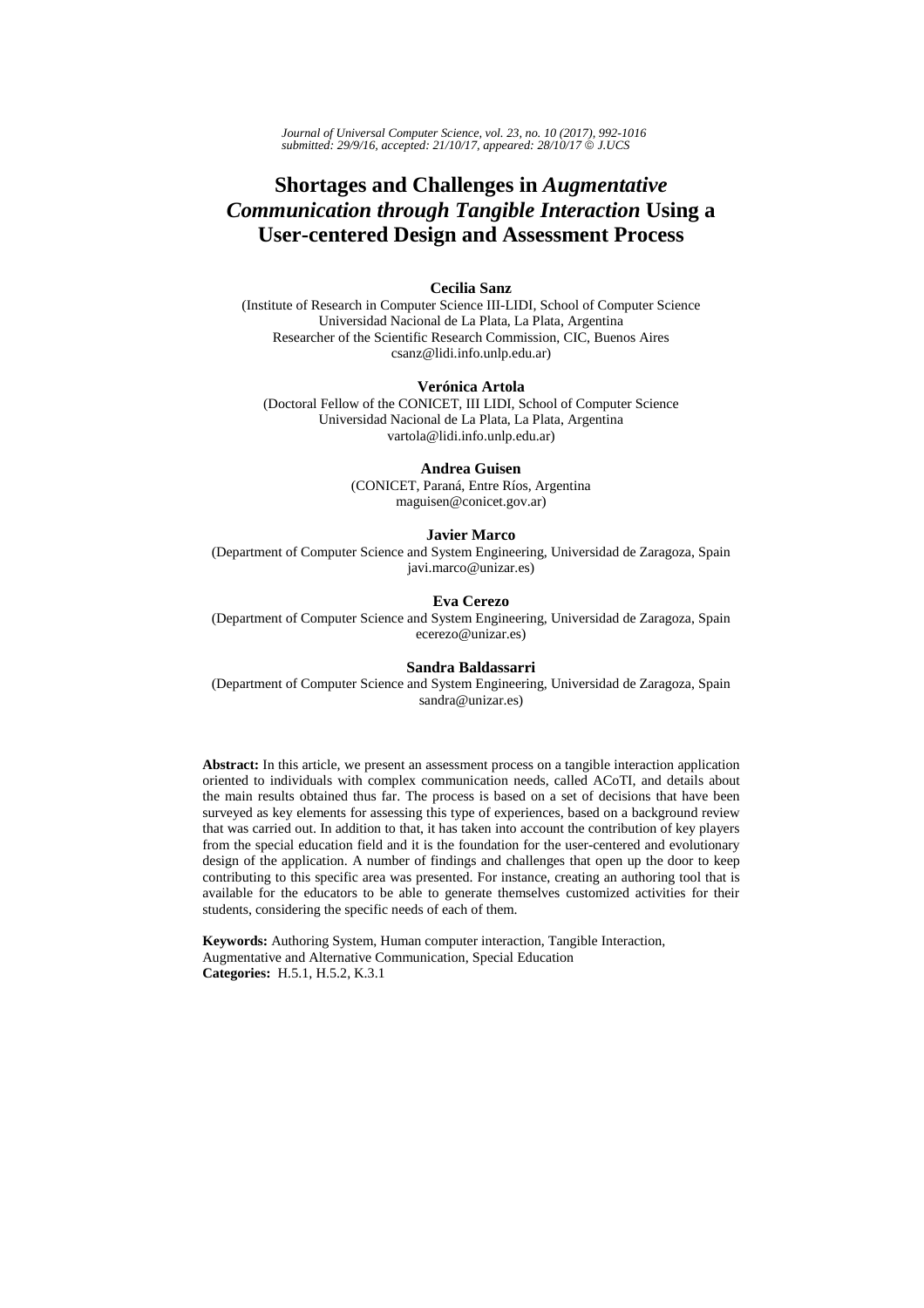*Journal of Universal Computer Science, vol. 23, no. 10 (2017), 992-1016 submitted: 29/9/16, accepted: 21/10/17, appeared: 28/10/17* © *J.UCS*

# **Shortages and Challenges in** *Augmentative Communication through Tangible Interaction* **Using a User-centered Design and Assessment Process**

## **Cecilia Sanz**

(Institute of Research in Computer Science III-LIDI, School of Computer Science Universidad Nacional de La Plata, La Plata, Argentina Researcher of the Scientific Research Commission, CIC, Buenos Aires csanz@lidi.info.unlp.edu.ar)

#### **Verónica Artola**

(Doctoral Fellow of the CONICET, III LIDI, School of Computer Science Universidad Nacional de La Plata, La Plata, Argentina vartola@lidi.info.unlp.edu.ar)

#### **Andrea Guisen**

(CONICET, Paraná, Entre Ríos, Argentina maguisen@conicet.gov.ar)

#### **Javier Marco**

(Department of Computer Science and System Engineering, Universidad de Zaragoza, Spain javi.marco@unizar.es)

## **Eva Cerezo**

(Department of Computer Science and System Engineering, Universidad de Zaragoza, Spain ecerezo@unizar.es)

#### **Sandra Baldassarri**

(Department of Computer Science and System Engineering, Universidad de Zaragoza, Spain sandra@unizar.es)

**Abstract:** In this article, we present an assessment process on a tangible interaction application oriented to individuals with complex communication needs, called ACoTI, and details about the main results obtained thus far. The process is based on a set of decisions that have been surveyed as key elements for assessing this type of experiences, based on a background review that was carried out. In addition to that, it has taken into account the contribution of key players from the special education field and it is the foundation for the user-centered and evolutionary design of the application. A number of findings and challenges that open up the door to keep contributing to this specific area was presented. For instance, creating an authoring tool that is available for the educators to be able to generate themselves customized activities for their students, considering the specific needs of each of them.

**Keywords:** Authoring System, Human computer interaction, Tangible Interaction, Augmentative and Alternative Communication, Special Education **Categories:** H.5.1, H.5.2, K.3.1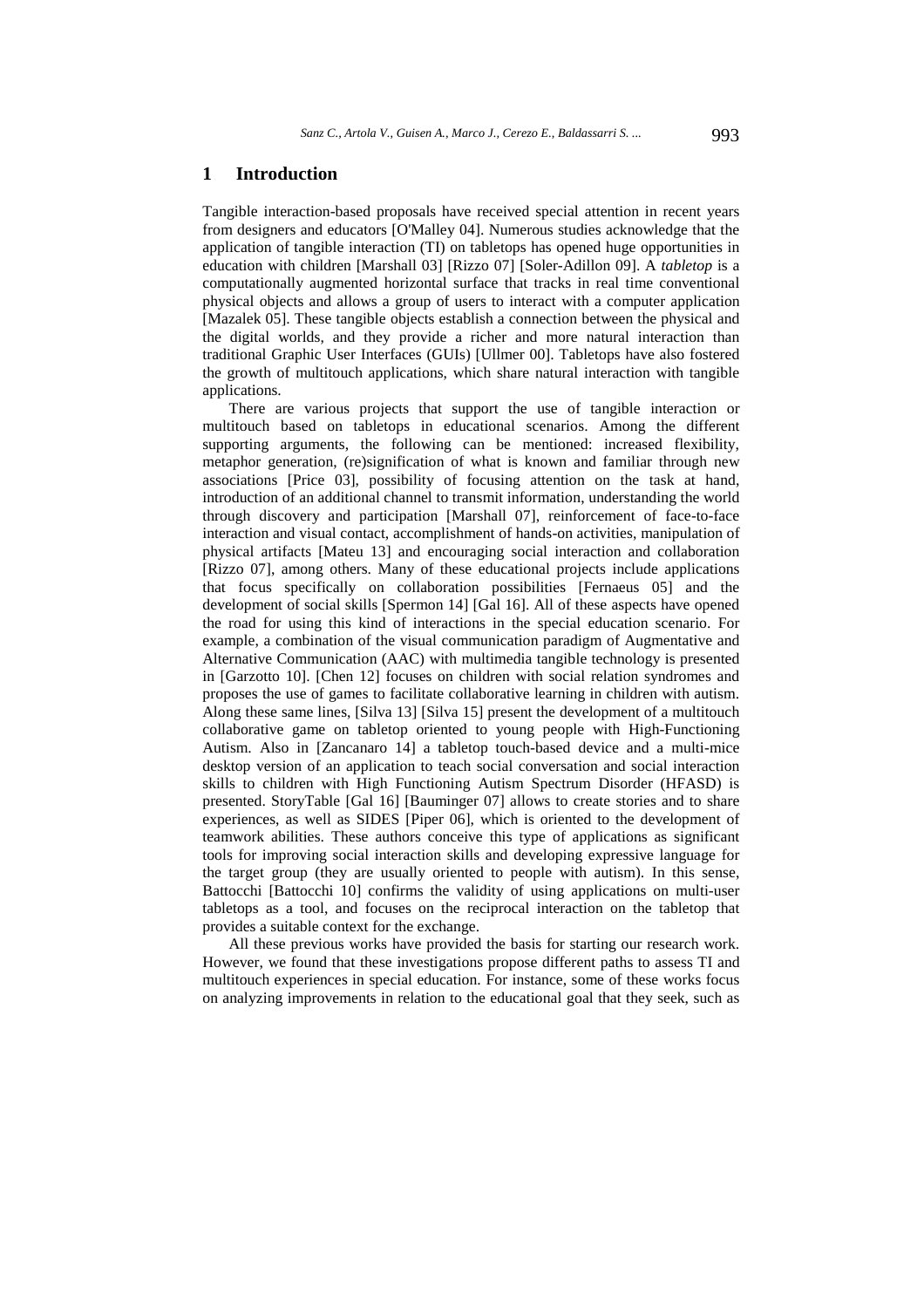## **1 Introduction**

Tangible interaction-based proposals have received special attention in recent years from designers and educators [O'Malley 04]. Numerous studies acknowledge that the application of tangible interaction (TI) on tabletops has opened huge opportunities in education with children [Marshall 03] [Rizzo 07] [Soler-Adillon 09]. A *tabletop* is a computationally augmented horizontal surface that tracks in real time conventional physical objects and allows a group of users to interact with a computer application [Mazalek 05]. These tangible objects establish a connection between the physical and the digital worlds, and they provide a richer and more natural interaction than traditional Graphic User Interfaces (GUIs) [Ullmer 00]. Tabletops have also fostered the growth of multitouch applications, which share natural interaction with tangible applications.

There are various projects that support the use of tangible interaction or multitouch based on tabletops in educational scenarios. Among the different supporting arguments, the following can be mentioned: increased flexibility, metaphor generation, (re)signification of what is known and familiar through new associations [Price 03], possibility of focusing attention on the task at hand, introduction of an additional channel to transmit information, understanding the world through discovery and participation [Marshall 07], reinforcement of face-to-face interaction and visual contact, accomplishment of hands-on activities, manipulation of physical artifacts [Mateu 13] and encouraging social interaction and collaboration [Rizzo 07], among others. Many of these educational projects include applications that focus specifically on collaboration possibilities [Fernaeus 05] and the development of social skills [Spermon 14] [Gal 16]. All of these aspects have opened the road for using this kind of interactions in the special education scenario. For example, a combination of the visual communication paradigm of Augmentative and Alternative Communication (AAC) with multimedia tangible technology is presented in [Garzotto 10]. [Chen 12] focuses on children with social relation syndromes and proposes the use of games to facilitate collaborative learning in children with autism. Along these same lines, [Silva 13] [Silva 15] present the development of a multitouch collaborative game on tabletop oriented to young people with High-Functioning Autism. Also in [Zancanaro 14] a tabletop touch-based device and a multi-mice desktop version of an application to teach social conversation and social interaction skills to children with High Functioning Autism Spectrum Disorder (HFASD) is presented. StoryTable [Gal 16] [Bauminger 07] allows to create stories and to share experiences, as well as SIDES [Piper 06], which is oriented to the development of teamwork abilities. These authors conceive this type of applications as significant tools for improving social interaction skills and developing expressive language for the target group (they are usually oriented to people with autism). In this sense, Battocchi [Battocchi 10] confirms the validity of using applications on multi-user tabletops as a tool, and focuses on the reciprocal interaction on the tabletop that provides a suitable context for the exchange.

All these previous works have provided the basis for starting our research work. However, we found that these investigations propose different paths to assess TI and multitouch experiences in special education. For instance, some of these works focus on analyzing improvements in relation to the educational goal that they seek, such as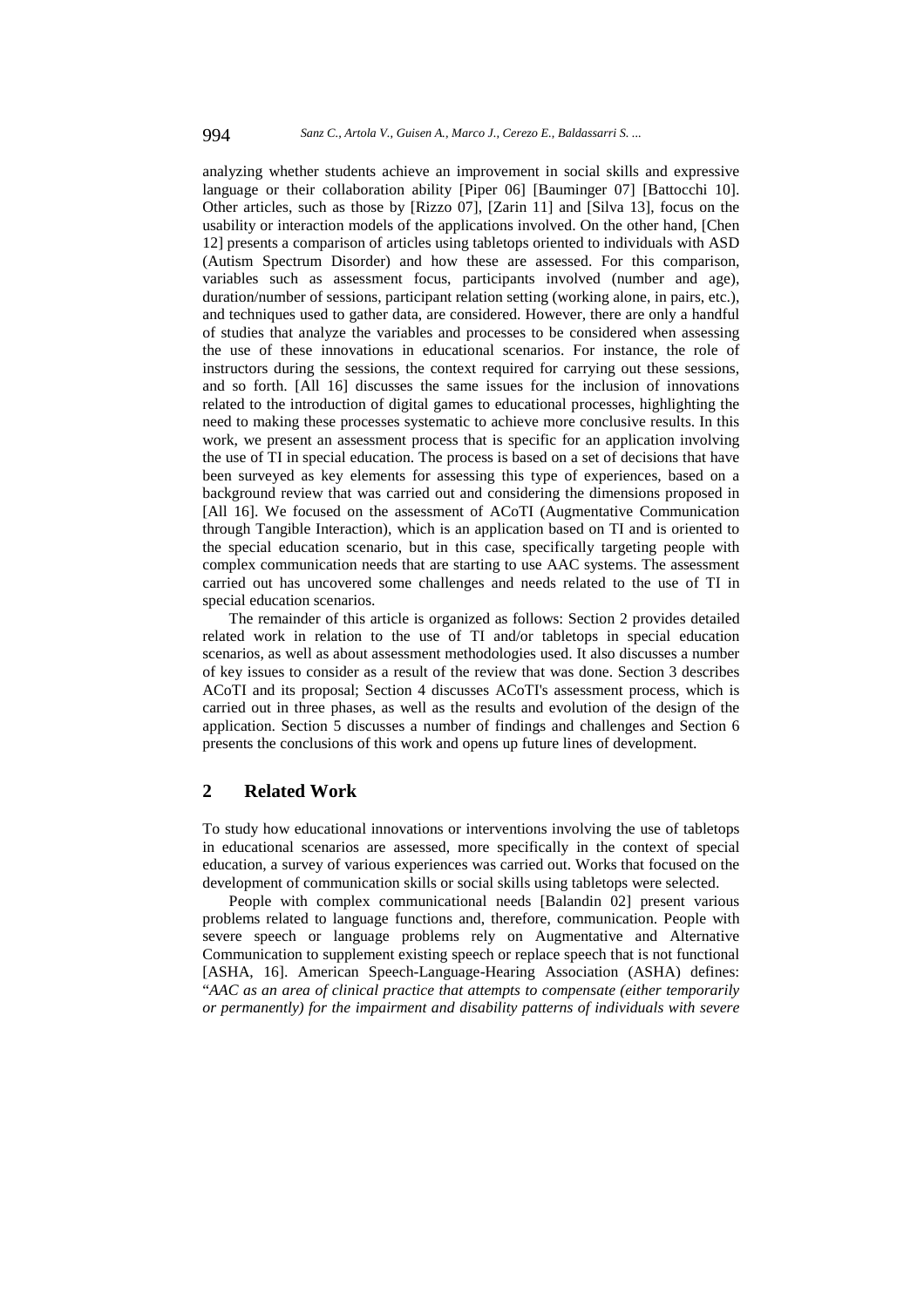analyzing whether students achieve an improvement in social skills and expressive language or their collaboration ability [Piper 06] [Bauminger 07] [Battocchi 10]. Other articles, such as those by [Rizzo 07], [Zarin 11] and [Silva 13], focus on the usability or interaction models of the applications involved. On the other hand, [Chen 12] presents a comparison of articles using tabletops oriented to individuals with ASD (Autism Spectrum Disorder) and how these are assessed. For this comparison, variables such as assessment focus, participants involved (number and age), duration/number of sessions, participant relation setting (working alone, in pairs, etc.), and techniques used to gather data, are considered. However, there are only a handful of studies that analyze the variables and processes to be considered when assessing the use of these innovations in educational scenarios. For instance, the role of instructors during the sessions, the context required for carrying out these sessions, and so forth. [All 16] discusses the same issues for the inclusion of innovations related to the introduction of digital games to educational processes, highlighting the need to making these processes systematic to achieve more conclusive results. In this work, we present an assessment process that is specific for an application involving the use of TI in special education. The process is based on a set of decisions that have been surveyed as key elements for assessing this type of experiences, based on a background review that was carried out and considering the dimensions proposed in [All 16]. We focused on the assessment of ACoTI (Augmentative Communication through Tangible Interaction), which is an application based on TI and is oriented to the special education scenario, but in this case, specifically targeting people with complex communication needs that are starting to use AAC systems. The assessment carried out has uncovered some challenges and needs related to the use of TI in special education scenarios.

The remainder of this article is organized as follows: Section 2 provides detailed related work in relation to the use of TI and/or tabletops in special education scenarios, as well as about assessment methodologies used. It also discusses a number of key issues to consider as a result of the review that was done. Section 3 describes ACoTI and its proposal; Section 4 discusses ACoTI's assessment process, which is carried out in three phases, as well as the results and evolution of the design of the application. Section 5 discusses a number of findings and challenges and Section 6 presents the conclusions of this work and opens up future lines of development.

## **2 Related Work**

To study how educational innovations or interventions involving the use of tabletops in educational scenarios are assessed, more specifically in the context of special education, a survey of various experiences was carried out. Works that focused on the development of communication skills or social skills using tabletops were selected.

People with complex communicational needs [Balandin 02] present various problems related to language functions and, therefore, communication. People with severe speech or language problems rely on Augmentative and Alternative Communication to supplement existing speech or replace speech that is not functional [ASHA, 16]. American Speech-Language-Hearing Association (ASHA) defines: "*AAC as an area of clinical practice that attempts to compensate (either temporarily or permanently) for the impairment and disability patterns of individuals with severe*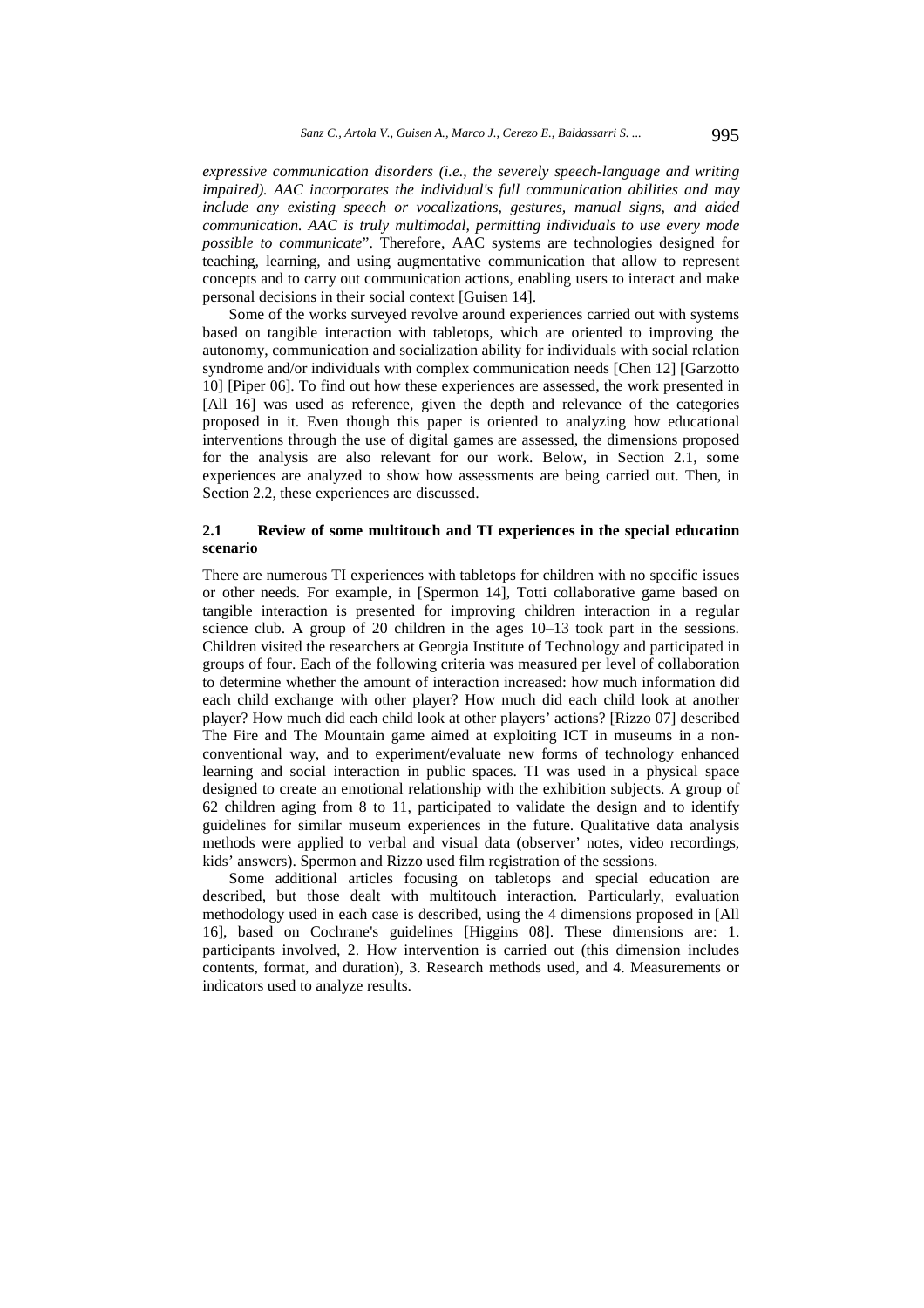*expressive communication disorders (i.e., the severely speech-language and writing impaired). AAC incorporates the individual's full communication abilities and may include any existing speech or vocalizations, gestures, manual signs, and aided communication. AAC is truly multimodal, permitting individuals to use every mode possible to communicate*". Therefore, AAC systems are technologies designed for teaching, learning, and using augmentative communication that allow to represent concepts and to carry out communication actions, enabling users to interact and make personal decisions in their social context [Guisen 14].

Some of the works surveyed revolve around experiences carried out with systems based on tangible interaction with tabletops, which are oriented to improving the autonomy, communication and socialization ability for individuals with social relation syndrome and/or individuals with complex communication needs [Chen 12] [Garzotto 10] [Piper 06]. To find out how these experiences are assessed, the work presented in [All 16] was used as reference, given the depth and relevance of the categories proposed in it. Even though this paper is oriented to analyzing how educational interventions through the use of digital games are assessed, the dimensions proposed for the analysis are also relevant for our work. Below, in Section 2.1, some experiences are analyzed to show how assessments are being carried out. Then, in Section 2.2, these experiences are discussed.

## **2.1 Review of some multitouch and TI experiences in the special education scenario**

There are numerous TI experiences with tabletops for children with no specific issues or other needs. For example, in [Spermon 14], Totti collaborative game based on tangible interaction is presented for improving children interaction in a regular science club. A group of 20 children in the ages 10–13 took part in the sessions. Children visited the researchers at Georgia Institute of Technology and participated in groups of four. Each of the following criteria was measured per level of collaboration to determine whether the amount of interaction increased: how much information did each child exchange with other player? How much did each child look at another player? How much did each child look at other players' actions? [Rizzo 07] described The Fire and The Mountain game aimed at exploiting ICT in museums in a nonconventional way, and to experiment/evaluate new forms of technology enhanced learning and social interaction in public spaces. TI was used in a physical space designed to create an emotional relationship with the exhibition subjects. A group of 62 children aging from 8 to 11, participated to validate the design and to identify guidelines for similar museum experiences in the future. Qualitative data analysis methods were applied to verbal and visual data (observer' notes, video recordings, kids' answers). Spermon and Rizzo used film registration of the sessions.

Some additional articles focusing on tabletops and special education are described, but those dealt with multitouch interaction. Particularly, evaluation methodology used in each case is described, using the 4 dimensions proposed in [All 16], based on Cochrane's guidelines [Higgins 08]. These dimensions are: 1. participants involved, 2. How intervention is carried out (this dimension includes contents, format, and duration), 3. Research methods used, and 4. Measurements or indicators used to analyze results.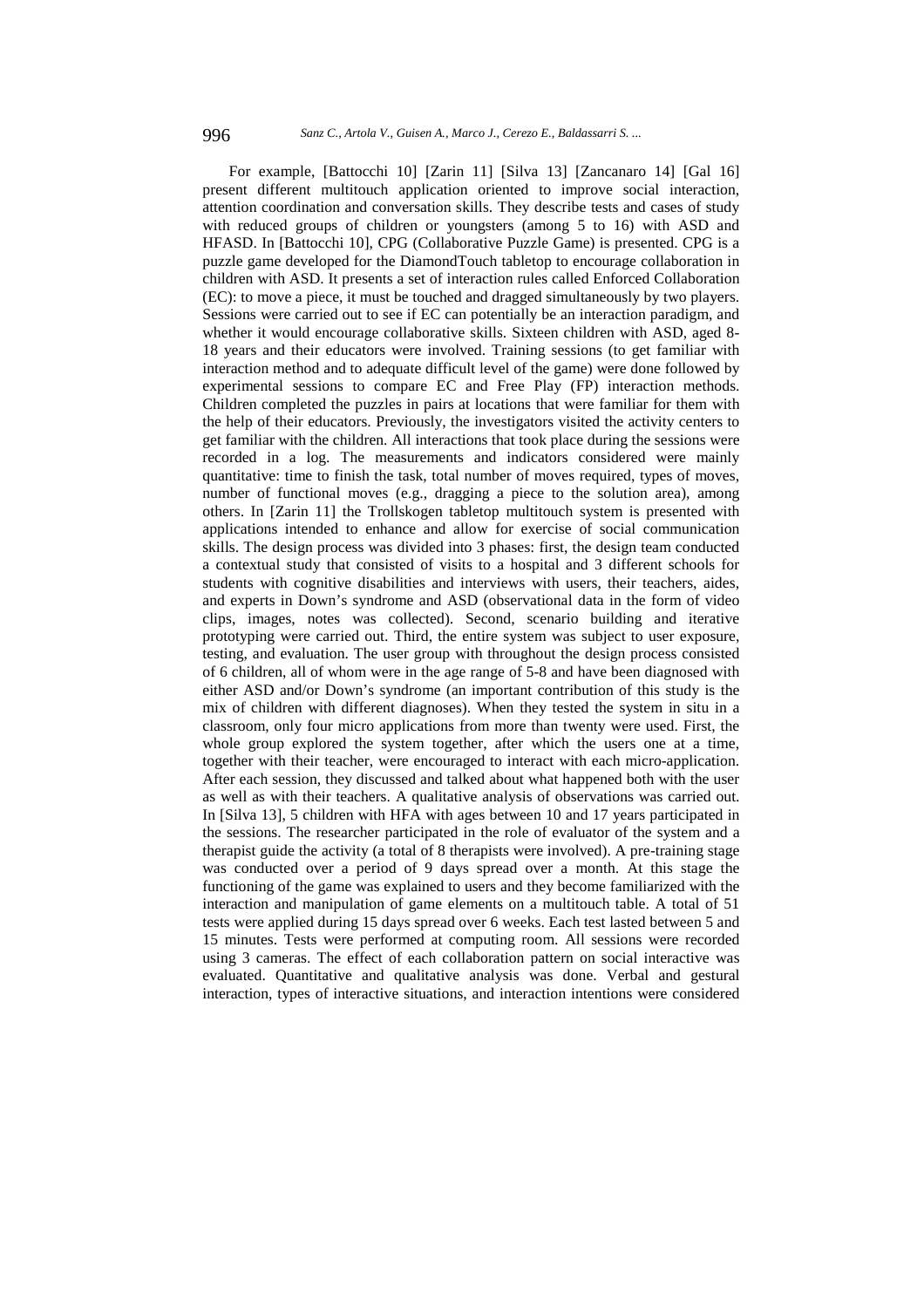For example, [Battocchi 10] [Zarin 11] [Silva 13] [Zancanaro 14] [Gal 16] present different multitouch application oriented to improve social interaction, attention coordination and conversation skills. They describe tests and cases of study with reduced groups of children or youngsters (among 5 to 16) with ASD and HFASD. In [Battocchi 10], CPG (Collaborative Puzzle Game) is presented. CPG is a puzzle game developed for the DiamondTouch tabletop to encourage collaboration in children with ASD. It presents a set of interaction rules called Enforced Collaboration (EC): to move a piece, it must be touched and dragged simultaneously by two players. Sessions were carried out to see if EC can potentially be an interaction paradigm, and whether it would encourage collaborative skills. Sixteen children with ASD, aged 8-18 years and their educators were involved. Training sessions (to get familiar with interaction method and to adequate difficult level of the game) were done followed by experimental sessions to compare EC and Free Play (FP) interaction methods. Children completed the puzzles in pairs at locations that were familiar for them with the help of their educators. Previously, the investigators visited the activity centers to get familiar with the children. All interactions that took place during the sessions were recorded in a log. The measurements and indicators considered were mainly quantitative: time to finish the task, total number of moves required, types of moves, number of functional moves (e.g., dragging a piece to the solution area), among others. In [Zarin 11] the Trollskogen tabletop multitouch system is presented with applications intended to enhance and allow for exercise of social communication skills. The design process was divided into 3 phases: first, the design team conducted a contextual study that consisted of visits to a hospital and 3 different schools for students with cognitive disabilities and interviews with users, their teachers, aides, and experts in Down's syndrome and ASD (observational data in the form of video clips, images, notes was collected). Second, scenario building and iterative prototyping were carried out. Third, the entire system was subject to user exposure, testing, and evaluation. The user group with throughout the design process consisted of 6 children, all of whom were in the age range of 5-8 and have been diagnosed with either ASD and/or Down's syndrome (an important contribution of this study is the mix of children with different diagnoses). When they tested the system in situ in a classroom, only four micro applications from more than twenty were used. First, the whole group explored the system together, after which the users one at a time, together with their teacher, were encouraged to interact with each micro-application. After each session, they discussed and talked about what happened both with the user as well as with their teachers. A qualitative analysis of observations was carried out. In [Silva 13], 5 children with HFA with ages between 10 and 17 years participated in the sessions. The researcher participated in the role of evaluator of the system and a therapist guide the activity (a total of 8 therapists were involved). A pre-training stage was conducted over a period of 9 days spread over a month. At this stage the functioning of the game was explained to users and they become familiarized with the interaction and manipulation of game elements on a multitouch table. A total of 51 tests were applied during 15 days spread over 6 weeks. Each test lasted between 5 and 15 minutes. Tests were performed at computing room. All sessions were recorded using 3 cameras. The effect of each collaboration pattern on social interactive was evaluated. Quantitative and qualitative analysis was done. Verbal and gestural interaction, types of interactive situations, and interaction intentions were considered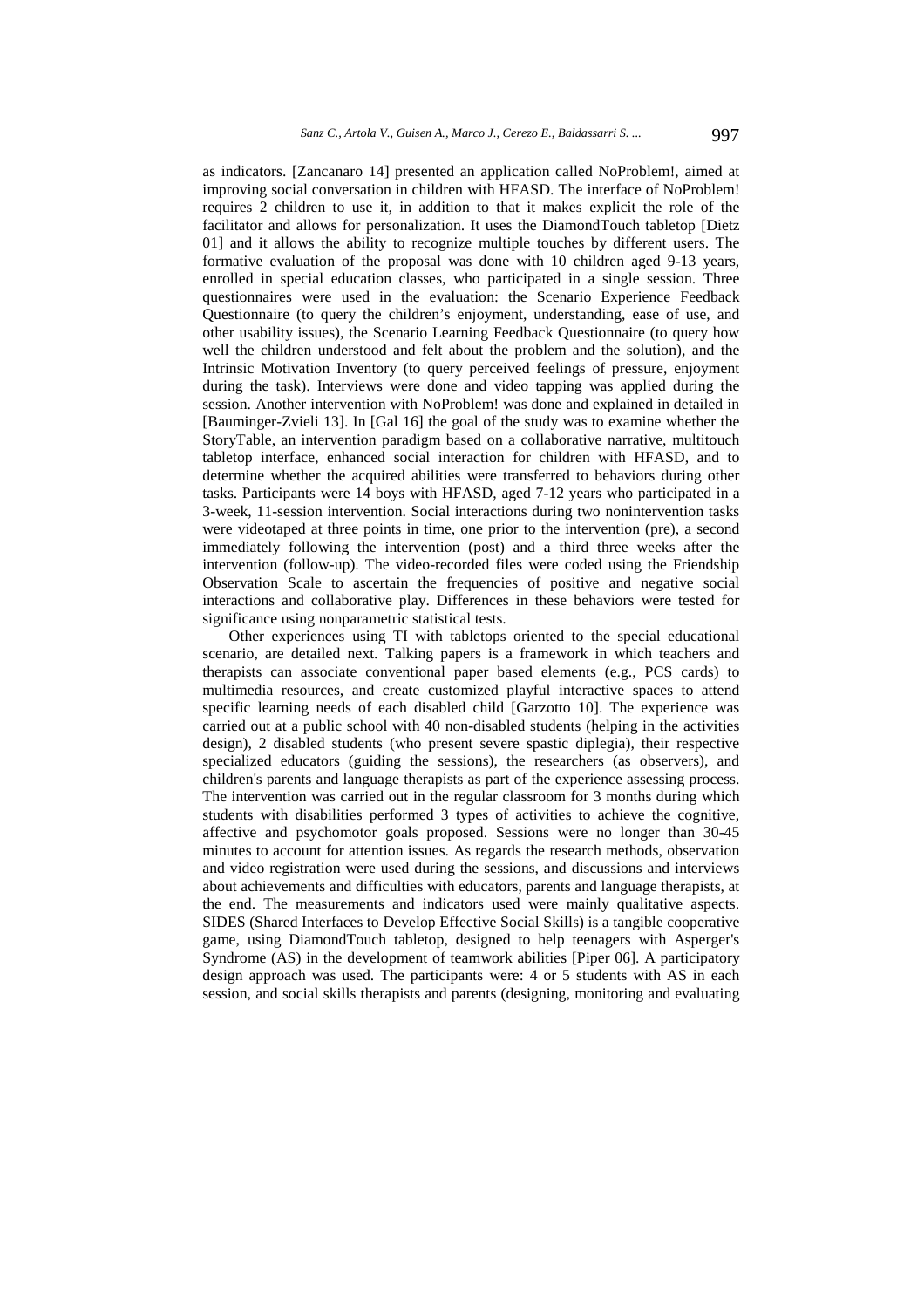as indicators. [Zancanaro 14] presented an application called NoProblem!, aimed at improving social conversation in children with HFASD. The interface of NoProblem! requires 2 children to use it, in addition to that it makes explicit the role of the facilitator and allows for personalization. It uses the DiamondTouch tabletop [Dietz 01] and it allows the ability to recognize multiple touches by different users. The formative evaluation of the proposal was done with 10 children aged 9-13 years, enrolled in special education classes, who participated in a single session. Three questionnaires were used in the evaluation: the Scenario Experience Feedback Questionnaire (to query the children's enjoyment, understanding, ease of use, and other usability issues), the Scenario Learning Feedback Questionnaire (to query how well the children understood and felt about the problem and the solution), and the Intrinsic Motivation Inventory (to query perceived feelings of pressure, enjoyment during the task). Interviews were done and video tapping was applied during the session. Another intervention with NoProblem! was done and explained in detailed in [Bauminger-Zvieli 13]. In [Gal 16] the goal of the study was to examine whether the StoryTable, an intervention paradigm based on a collaborative narrative, multitouch tabletop interface, enhanced social interaction for children with HFASD, and to determine whether the acquired abilities were transferred to behaviors during other tasks. Participants were 14 boys with HFASD, aged 7-12 years who participated in a 3-week, 11-session intervention. Social interactions during two nonintervention tasks were videotaped at three points in time, one prior to the intervention (pre), a second immediately following the intervention (post) and a third three weeks after the intervention (follow-up). The video-recorded files were coded using the Friendship Observation Scale to ascertain the frequencies of positive and negative social interactions and collaborative play. Differences in these behaviors were tested for significance using nonparametric statistical tests.

Other experiences using TI with tabletops oriented to the special educational scenario, are detailed next. Talking papers is a framework in which teachers and therapists can associate conventional paper based elements (e.g., PCS cards) to multimedia resources, and create customized playful interactive spaces to attend specific learning needs of each disabled child [Garzotto 10]. The experience was carried out at a public school with 40 non-disabled students (helping in the activities design), 2 disabled students (who present severe spastic diplegia), their respective specialized educators (guiding the sessions), the researchers (as observers), and children's parents and language therapists as part of the experience assessing process. The intervention was carried out in the regular classroom for 3 months during which students with disabilities performed 3 types of activities to achieve the cognitive, affective and psychomotor goals proposed. Sessions were no longer than 30-45 minutes to account for attention issues. As regards the research methods, observation and video registration were used during the sessions, and discussions and interviews about achievements and difficulties with educators, parents and language therapists, at the end. The measurements and indicators used were mainly qualitative aspects. SIDES (Shared Interfaces to Develop Effective Social Skills) is a tangible cooperative game, using DiamondTouch tabletop, designed to help teenagers with Asperger's Syndrome (AS) in the development of teamwork abilities [Piper 06]. A participatory design approach was used. The participants were: 4 or 5 students with AS in each session, and social skills therapists and parents (designing, monitoring and evaluating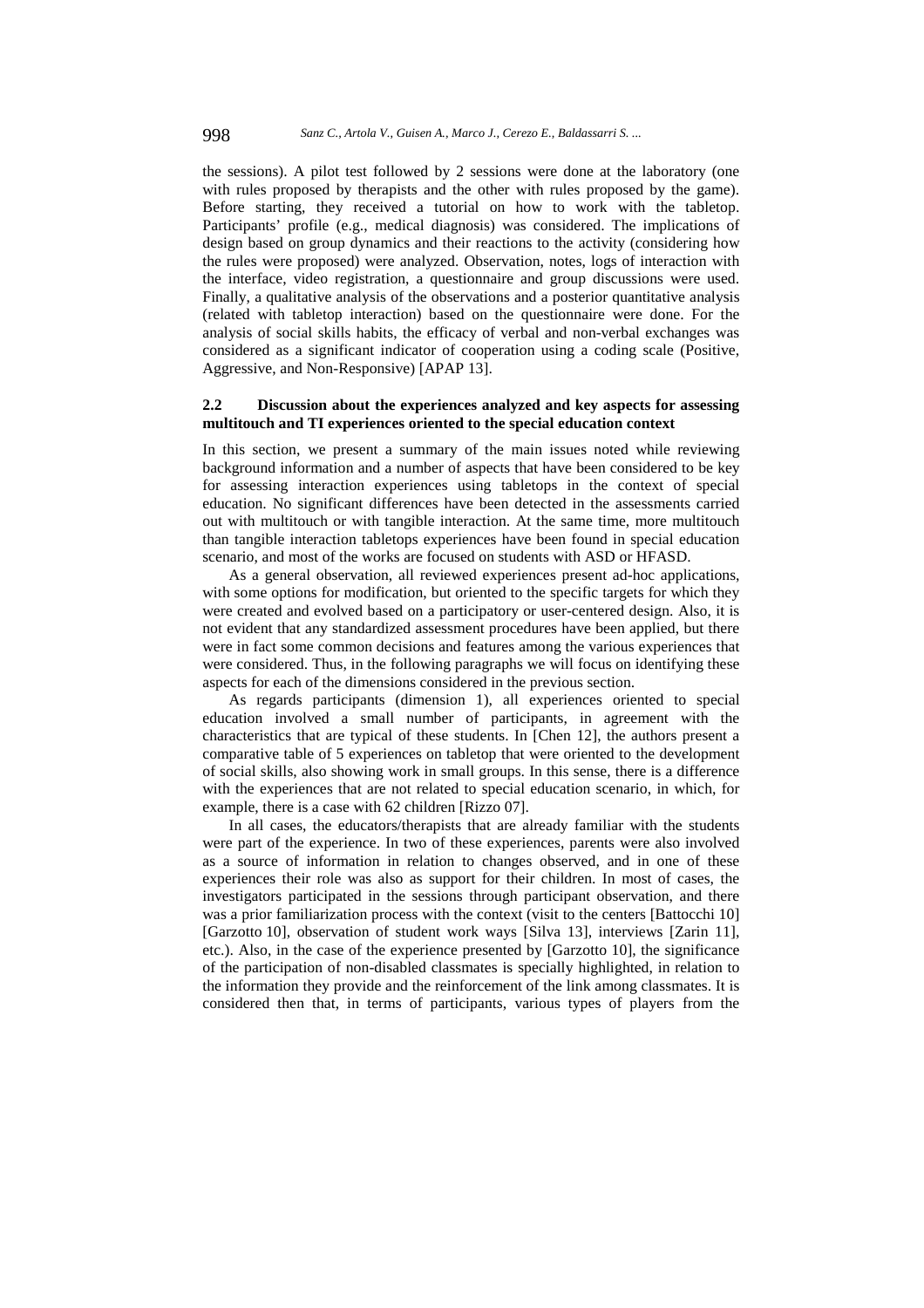the sessions). A pilot test followed by 2 sessions were done at the laboratory (one with rules proposed by therapists and the other with rules proposed by the game). Before starting, they received a tutorial on how to work with the tabletop. Participants' profile (e.g., medical diagnosis) was considered. The implications of design based on group dynamics and their reactions to the activity (considering how the rules were proposed) were analyzed. Observation, notes, logs of interaction with the interface, video registration, a questionnaire and group discussions were used. Finally, a qualitative analysis of the observations and a posterior quantitative analysis (related with tabletop interaction) based on the questionnaire were done. For the analysis of social skills habits, the efficacy of verbal and non-verbal exchanges was considered as a significant indicator of cooperation using a coding scale (Positive, Aggressive, and Non-Responsive) [APAP 13].

## **2.2 Discussion about the experiences analyzed and key aspects for assessing multitouch and TI experiences oriented to the special education context**

In this section, we present a summary of the main issues noted while reviewing background information and a number of aspects that have been considered to be key for assessing interaction experiences using tabletops in the context of special education. No significant differences have been detected in the assessments carried out with multitouch or with tangible interaction. At the same time, more multitouch than tangible interaction tabletops experiences have been found in special education scenario, and most of the works are focused on students with ASD or HFASD.

As a general observation, all reviewed experiences present ad-hoc applications, with some options for modification, but oriented to the specific targets for which they were created and evolved based on a participatory or user-centered design. Also, it is not evident that any standardized assessment procedures have been applied, but there were in fact some common decisions and features among the various experiences that were considered. Thus, in the following paragraphs we will focus on identifying these aspects for each of the dimensions considered in the previous section.

As regards participants (dimension 1), all experiences oriented to special education involved a small number of participants, in agreement with the characteristics that are typical of these students. In [Chen 12], the authors present a comparative table of 5 experiences on tabletop that were oriented to the development of social skills, also showing work in small groups. In this sense, there is a difference with the experiences that are not related to special education scenario, in which, for example, there is a case with 62 children [Rizzo 07].

In all cases, the educators/therapists that are already familiar with the students were part of the experience. In two of these experiences, parents were also involved as a source of information in relation to changes observed, and in one of these experiences their role was also as support for their children. In most of cases, the investigators participated in the sessions through participant observation, and there was a prior familiarization process with the context (visit to the centers [Battocchi 10] [Garzotto 10], observation of student work ways [Silva 13], interviews [Zarin 11], etc.). Also, in the case of the experience presented by [Garzotto 10], the significance of the participation of non-disabled classmates is specially highlighted, in relation to the information they provide and the reinforcement of the link among classmates. It is considered then that, in terms of participants, various types of players from the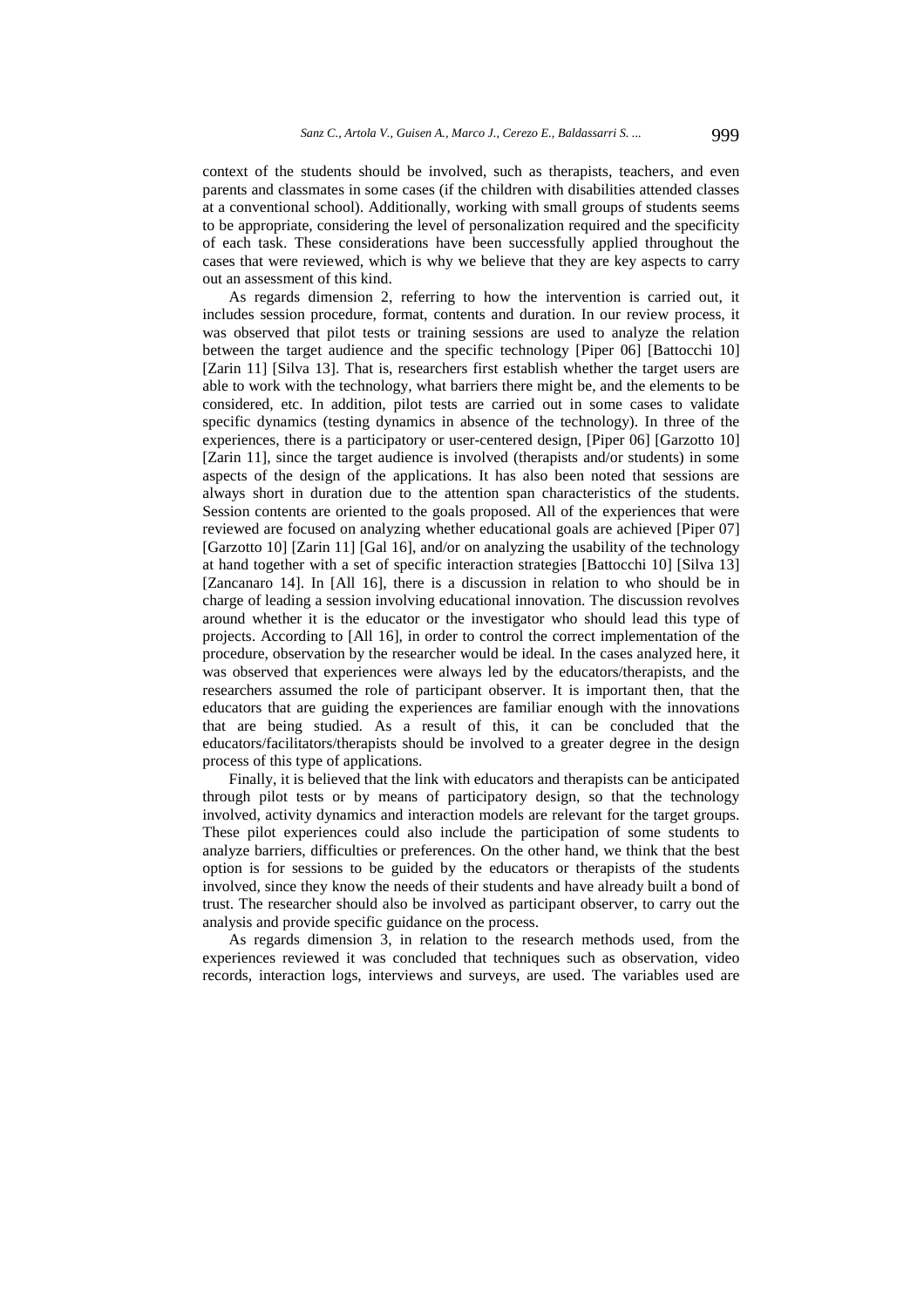context of the students should be involved, such as therapists, teachers, and even parents and classmates in some cases (if the children with disabilities attended classes at a conventional school). Additionally, working with small groups of students seems to be appropriate, considering the level of personalization required and the specificity of each task. These considerations have been successfully applied throughout the cases that were reviewed, which is why we believe that they are key aspects to carry out an assessment of this kind.

As regards dimension 2, referring to how the intervention is carried out, it includes session procedure, format, contents and duration. In our review process, it was observed that pilot tests or training sessions are used to analyze the relation between the target audience and the specific technology [Piper 06] [Battocchi 10] [Zarin 11] [Silva 13]. That is, researchers first establish whether the target users are able to work with the technology, what barriers there might be, and the elements to be considered, etc. In addition, pilot tests are carried out in some cases to validate specific dynamics (testing dynamics in absence of the technology). In three of the experiences, there is a participatory or user-centered design, [Piper 06] [Garzotto 10] [Zarin 11], since the target audience is involved (therapists and/or students) in some aspects of the design of the applications. It has also been noted that sessions are always short in duration due to the attention span characteristics of the students. Session contents are oriented to the goals proposed. All of the experiences that were reviewed are focused on analyzing whether educational goals are achieved [Piper 07] [Garzotto 10] [Zarin 11] [Gal 16], and/or on analyzing the usability of the technology at hand together with a set of specific interaction strategies [Battocchi 10] [Silva 13] [Zancanaro 14]. In [All 16], there is a discussion in relation to who should be in charge of leading a session involving educational innovation. The discussion revolves around whether it is the educator or the investigator who should lead this type of projects. According to [All 16], in order to control the correct implementation of the procedure, observation by the researcher would be ideal*.* In the cases analyzed here, it was observed that experiences were always led by the educators/therapists, and the researchers assumed the role of participant observer. It is important then, that the educators that are guiding the experiences are familiar enough with the innovations that are being studied. As a result of this, it can be concluded that the educators/facilitators/therapists should be involved to a greater degree in the design process of this type of applications.

Finally, it is believed that the link with educators and therapists can be anticipated through pilot tests or by means of participatory design, so that the technology involved, activity dynamics and interaction models are relevant for the target groups. These pilot experiences could also include the participation of some students to analyze barriers, difficulties or preferences. On the other hand, we think that the best option is for sessions to be guided by the educators or therapists of the students involved, since they know the needs of their students and have already built a bond of trust. The researcher should also be involved as participant observer, to carry out the analysis and provide specific guidance on the process.

As regards dimension 3, in relation to the research methods used, from the experiences reviewed it was concluded that techniques such as observation, video records, interaction logs, interviews and surveys, are used. The variables used are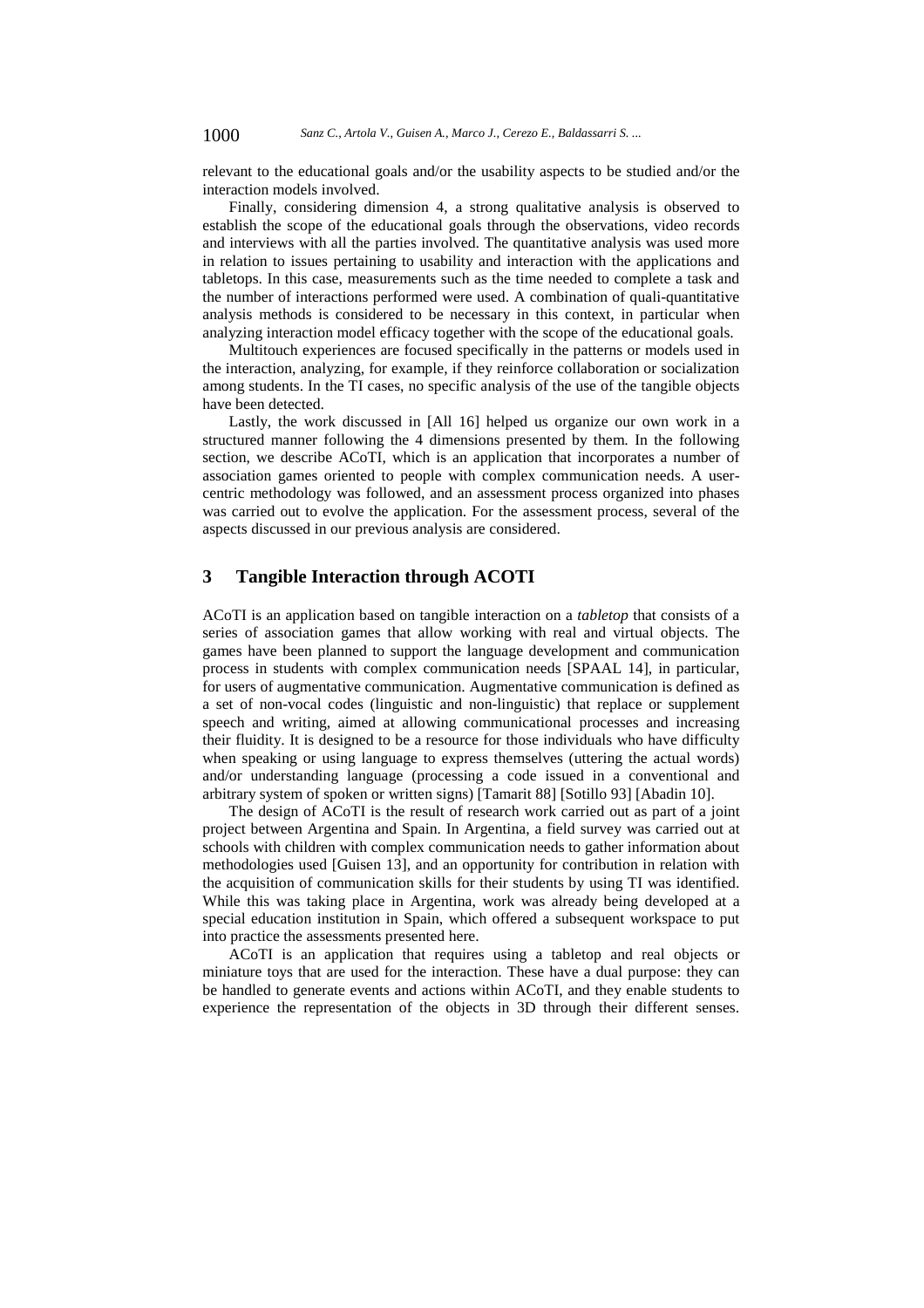relevant to the educational goals and/or the usability aspects to be studied and/or the interaction models involved.

Finally, considering dimension 4, a strong qualitative analysis is observed to establish the scope of the educational goals through the observations, video records and interviews with all the parties involved. The quantitative analysis was used more in relation to issues pertaining to usability and interaction with the applications and tabletops. In this case, measurements such as the time needed to complete a task and the number of interactions performed were used. A combination of quali-quantitative analysis methods is considered to be necessary in this context, in particular when analyzing interaction model efficacy together with the scope of the educational goals.

Multitouch experiences are focused specifically in the patterns or models used in the interaction, analyzing, for example, if they reinforce collaboration or socialization among students. In the TI cases, no specific analysis of the use of the tangible objects have been detected.

Lastly, the work discussed in [All 16] helped us organize our own work in a structured manner following the 4 dimensions presented by them. In the following section, we describe ACoTI, which is an application that incorporates a number of association games oriented to people with complex communication needs. A usercentric methodology was followed, and an assessment process organized into phases was carried out to evolve the application. For the assessment process, several of the aspects discussed in our previous analysis are considered.

## **3 Tangible Interaction through ACOTI**

ACoTI is an application based on tangible interaction on a *tabletop* that consists of a series of association games that allow working with real and virtual objects. The games have been planned to support the language development and communication process in students with complex communication needs [SPAAL 14], in particular, for users of augmentative communication. Augmentative communication is defined as a set of non-vocal codes (linguistic and non-linguistic) that replace or supplement speech and writing, aimed at allowing communicational processes and increasing their fluidity. It is designed to be a resource for those individuals who have difficulty when speaking or using language to express themselves (uttering the actual words) and/or understanding language (processing a code issued in a conventional and arbitrary system of spoken or written signs) [Tamarit 88] [Sotillo 93] [Abadin 10].

The design of ACoTI is the result of research work carried out as part of a joint project between Argentina and Spain. In Argentina, a field survey was carried out at schools with children with complex communication needs to gather information about methodologies used [Guisen 13], and an opportunity for contribution in relation with the acquisition of communication skills for their students by using TI was identified. While this was taking place in Argentina, work was already being developed at a special education institution in Spain, which offered a subsequent workspace to put into practice the assessments presented here.

ACoTI is an application that requires using a tabletop and real objects or miniature toys that are used for the interaction. These have a dual purpose: they can be handled to generate events and actions within ACoTI, and they enable students to experience the representation of the objects in 3D through their different senses.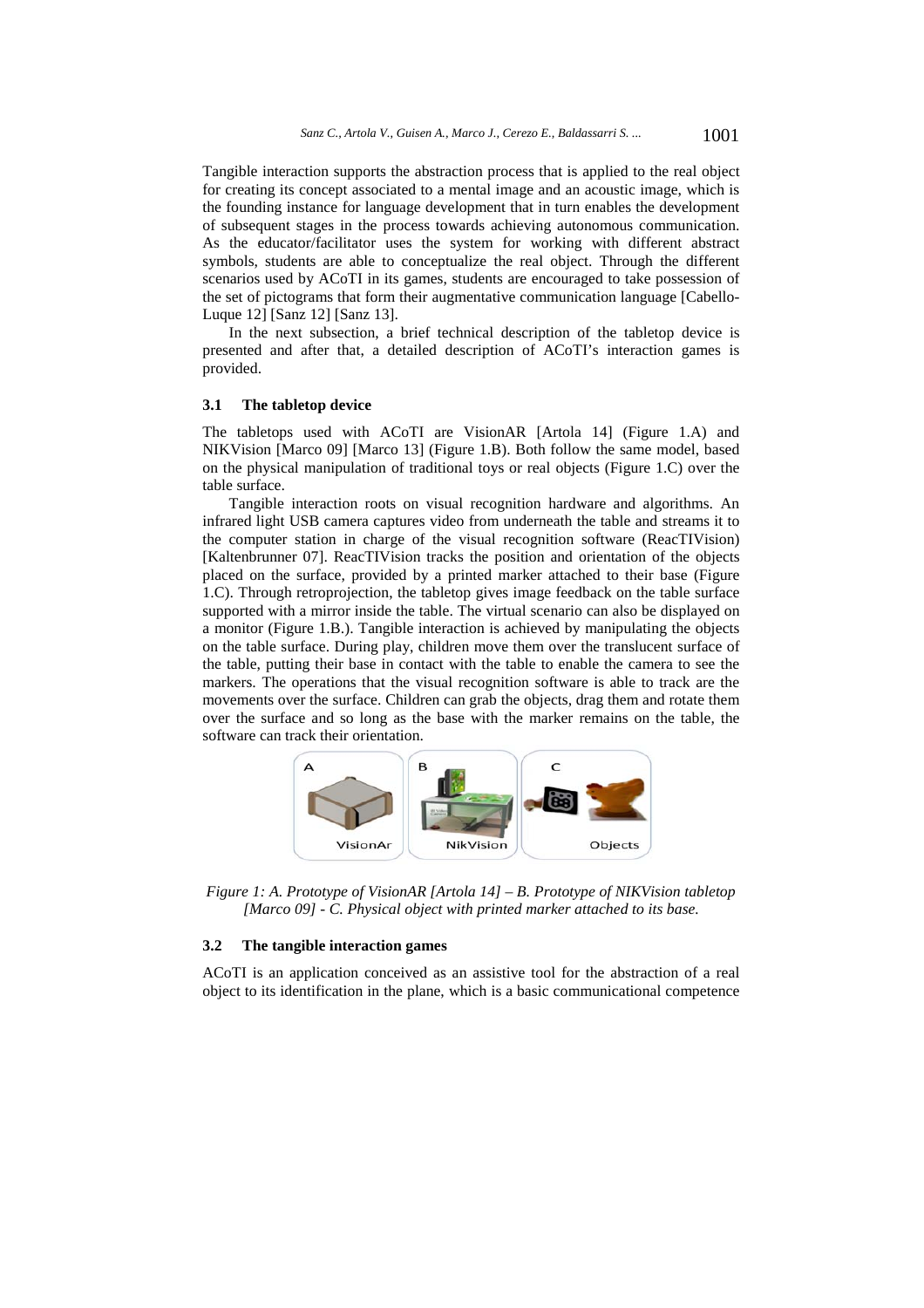Tangible interaction supports the abstraction process that is applied to the real object for creating its concept associated to a mental image and an acoustic image, which is the founding instance for language development that in turn enables the development of subsequent stages in the process towards achieving autonomous communication. As the educator/facilitator uses the system for working with different abstract symbols, students are able to conceptualize the real object. Through the different scenarios used by ACoTI in its games, students are encouraged to take possession of the set of pictograms that form their augmentative communication language [Cabello-Luque 12] [Sanz 12] [Sanz 13].

In the next subsection, a brief technical description of the tabletop device is presented and after that, a detailed description of ACoTI's interaction games is provided.

## **3.1 The tabletop device**

The tabletops used with ACoTI are VisionAR [Artola 14] (Figure 1.A) and NIKVision [Marco 09] [Marco 13] (Figure 1.B). Both follow the same model, based on the physical manipulation of traditional toys or real objects (Figure 1.C) over the table surface.

Tangible interaction roots on visual recognition hardware and algorithms. An infrared light USB camera captures video from underneath the table and streams it to the computer station in charge of the visual recognition software (ReacTIVision) [Kaltenbrunner 07]. ReacTIVision tracks the position and orientation of the objects placed on the surface, provided by a printed marker attached to their base (Figure 1.C). Through retroprojection, the tabletop gives image feedback on the table surface supported with a mirror inside the table. The virtual scenario can also be displayed on a monitor (Figure 1.B.). Tangible interaction is achieved by manipulating the objects on the table surface. During play, children move them over the translucent surface of the table, putting their base in contact with the table to enable the camera to see the markers. The operations that the visual recognition software is able to track are the movements over the surface. Children can grab the objects, drag them and rotate them over the surface and so long as the base with the marker remains on the table, the software can track their orientation.



*Figure 1: A. Prototype of VisionAR [Artola 14] – B. Prototype of NIKVision tabletop [Marco 09] - C. Physical object with printed marker attached to its base.* 

## **3.2 The tangible interaction games**

ACoTI is an application conceived as an assistive tool for the abstraction of a real object to its identification in the plane, which is a basic communicational competence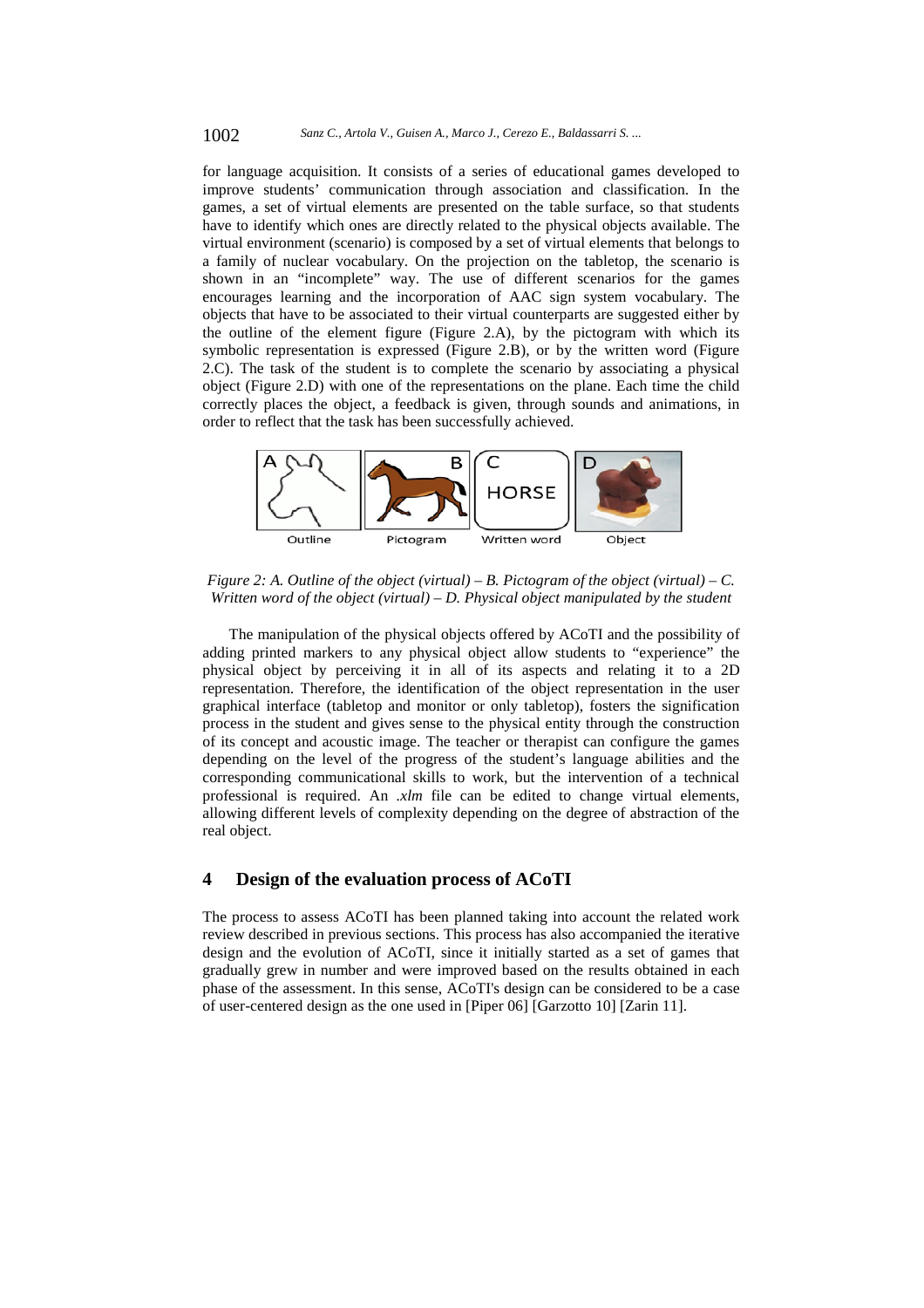for language acquisition. It consists of a series of educational games developed to improve students' communication through association and classification. In the games, a set of virtual elements are presented on the table surface, so that students have to identify which ones are directly related to the physical objects available. The virtual environment (scenario) is composed by a set of virtual elements that belongs to a family of nuclear vocabulary. On the projection on the tabletop, the scenario is shown in an "incomplete" way. The use of different scenarios for the games encourages learning and the incorporation of AAC sign system vocabulary. The objects that have to be associated to their virtual counterparts are suggested either by the outline of the element figure (Figure 2.A), by the pictogram with which its symbolic representation is expressed (Figure 2.B), or by the written word (Figure 2.C). The task of the student is to complete the scenario by associating a physical object (Figure 2.D) with one of the representations on the plane. Each time the child correctly places the object, a feedback is given, through sounds and animations, in order to reflect that the task has been successfully achieved.



*Figure 2: A. Outline of the object (virtual) – B. Pictogram of the object (virtual) – C. Written word of the object (virtual) – D. Physical object manipulated by the student* 

The manipulation of the physical objects offered by ACoTI and the possibility of adding printed markers to any physical object allow students to "experience" the physical object by perceiving it in all of its aspects and relating it to a 2D representation. Therefore, the identification of the object representation in the user graphical interface (tabletop and monitor or only tabletop), fosters the signification process in the student and gives sense to the physical entity through the construction of its concept and acoustic image. The teacher or therapist can configure the games depending on the level of the progress of the student's language abilities and the corresponding communicational skills to work, but the intervention of a technical professional is required. An *.xlm* file can be edited to change virtual elements, allowing different levels of complexity depending on the degree of abstraction of the real object.

## **4 Design of the evaluation process of ACoTI**

The process to assess ACoTI has been planned taking into account the related work review described in previous sections. This process has also accompanied the iterative design and the evolution of ACoTI, since it initially started as a set of games that gradually grew in number and were improved based on the results obtained in each phase of the assessment. In this sense, ACoTI's design can be considered to be a case of user-centered design as the one used in [Piper 06] [Garzotto 10] [Zarin 11].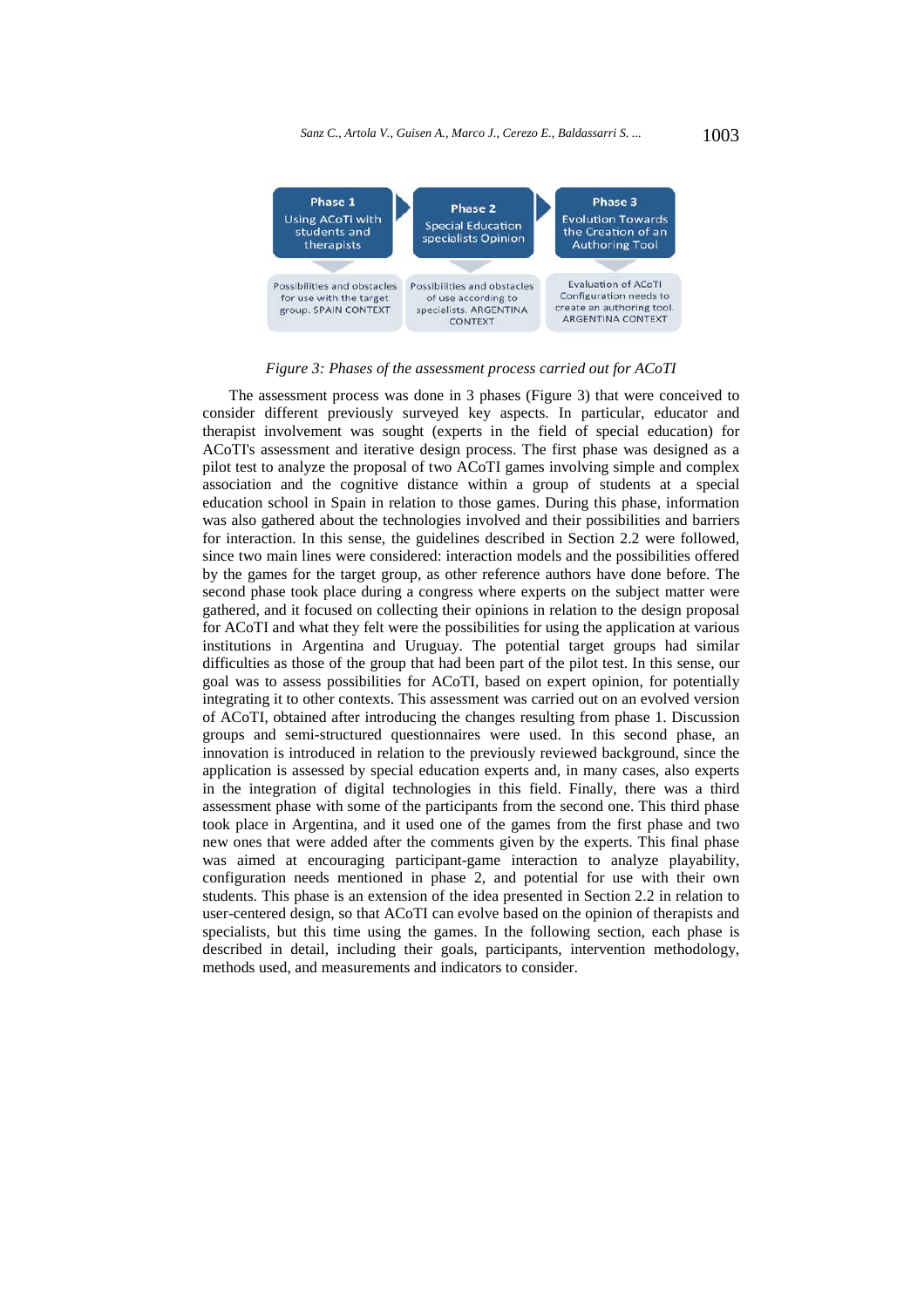*Sanz C., Artola V., Guisen A., Marco J., Cerezo E., Baldassarri S....* 1003



*Figure 3: Phases of the assessment process carried out for ACoTI* 

The assessment process was done in 3 phases (Figure 3) that were conceived to consider different previously surveyed key aspects. In particular, educator and therapist involvement was sought (experts in the field of special education) for ACoTI's assessment and iterative design process. The first phase was designed as a pilot test to analyze the proposal of two ACoTI games involving simple and complex association and the cognitive distance within a group of students at a special education school in Spain in relation to those games. During this phase, information was also gathered about the technologies involved and their possibilities and barriers for interaction. In this sense, the guidelines described in Section 2.2 were followed, since two main lines were considered: interaction models and the possibilities offered by the games for the target group, as other reference authors have done before. The second phase took place during a congress where experts on the subject matter were gathered, and it focused on collecting their opinions in relation to the design proposal for ACoTI and what they felt were the possibilities for using the application at various institutions in Argentina and Uruguay. The potential target groups had similar difficulties as those of the group that had been part of the pilot test. In this sense, our goal was to assess possibilities for ACoTI, based on expert opinion, for potentially integrating it to other contexts. This assessment was carried out on an evolved version of ACoTI, obtained after introducing the changes resulting from phase 1. Discussion groups and semi-structured questionnaires were used. In this second phase, an innovation is introduced in relation to the previously reviewed background, since the application is assessed by special education experts and, in many cases, also experts in the integration of digital technologies in this field. Finally, there was a third assessment phase with some of the participants from the second one. This third phase took place in Argentina, and it used one of the games from the first phase and two new ones that were added after the comments given by the experts. This final phase was aimed at encouraging participant-game interaction to analyze playability, configuration needs mentioned in phase 2, and potential for use with their own students. This phase is an extension of the idea presented in Section 2.2 in relation to user-centered design, so that ACoTI can evolve based on the opinion of therapists and specialists, but this time using the games. In the following section, each phase is described in detail, including their goals, participants, intervention methodology, methods used, and measurements and indicators to consider.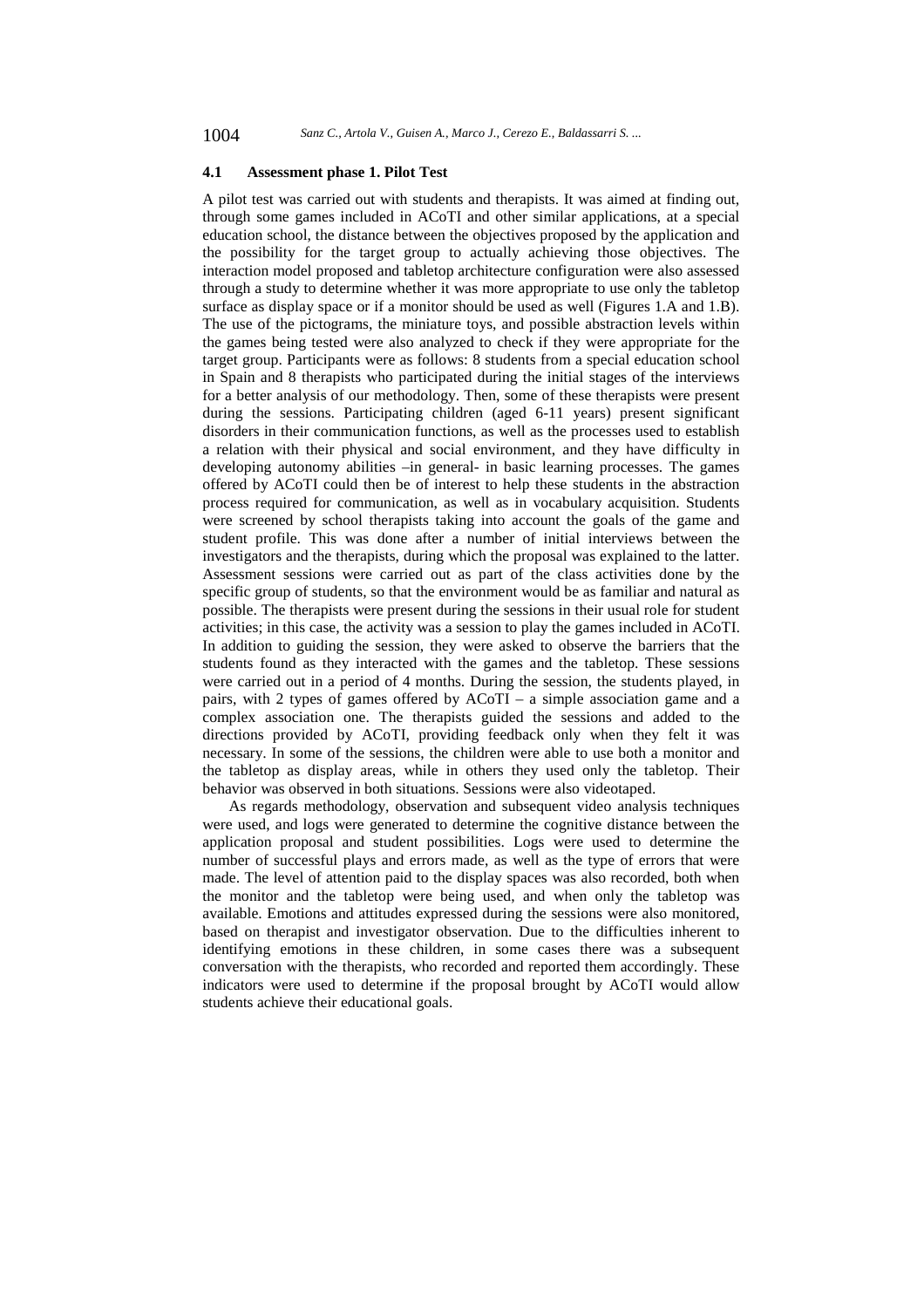#### **4.1 Assessment phase 1. Pilot Test**

A pilot test was carried out with students and therapists. It was aimed at finding out, through some games included in ACoTI and other similar applications, at a special education school, the distance between the objectives proposed by the application and the possibility for the target group to actually achieving those objectives. The interaction model proposed and tabletop architecture configuration were also assessed through a study to determine whether it was more appropriate to use only the tabletop surface as display space or if a monitor should be used as well (Figures 1.A and 1.B). The use of the pictograms, the miniature toys, and possible abstraction levels within the games being tested were also analyzed to check if they were appropriate for the target group. Participants were as follows: 8 students from a special education school in Spain and 8 therapists who participated during the initial stages of the interviews for a better analysis of our methodology. Then, some of these therapists were present during the sessions. Participating children (aged 6-11 years) present significant disorders in their communication functions, as well as the processes used to establish a relation with their physical and social environment, and they have difficulty in developing autonomy abilities –in general- in basic learning processes. The games offered by ACoTI could then be of interest to help these students in the abstraction process required for communication, as well as in vocabulary acquisition. Students were screened by school therapists taking into account the goals of the game and student profile. This was done after a number of initial interviews between the investigators and the therapists, during which the proposal was explained to the latter. Assessment sessions were carried out as part of the class activities done by the specific group of students, so that the environment would be as familiar and natural as possible. The therapists were present during the sessions in their usual role for student activities; in this case, the activity was a session to play the games included in ACoTI. In addition to guiding the session, they were asked to observe the barriers that the students found as they interacted with the games and the tabletop. These sessions were carried out in a period of 4 months. During the session, the students played, in pairs, with 2 types of games offered by ACoTI – a simple association game and a complex association one. The therapists guided the sessions and added to the directions provided by ACoTI, providing feedback only when they felt it was necessary. In some of the sessions, the children were able to use both a monitor and the tabletop as display areas, while in others they used only the tabletop. Their behavior was observed in both situations. Sessions were also videotaped.

As regards methodology, observation and subsequent video analysis techniques were used, and logs were generated to determine the cognitive distance between the application proposal and student possibilities. Logs were used to determine the number of successful plays and errors made, as well as the type of errors that were made. The level of attention paid to the display spaces was also recorded, both when the monitor and the tabletop were being used, and when only the tabletop was available. Emotions and attitudes expressed during the sessions were also monitored, based on therapist and investigator observation. Due to the difficulties inherent to identifying emotions in these children, in some cases there was a subsequent conversation with the therapists, who recorded and reported them accordingly. These indicators were used to determine if the proposal brought by ACoTI would allow students achieve their educational goals.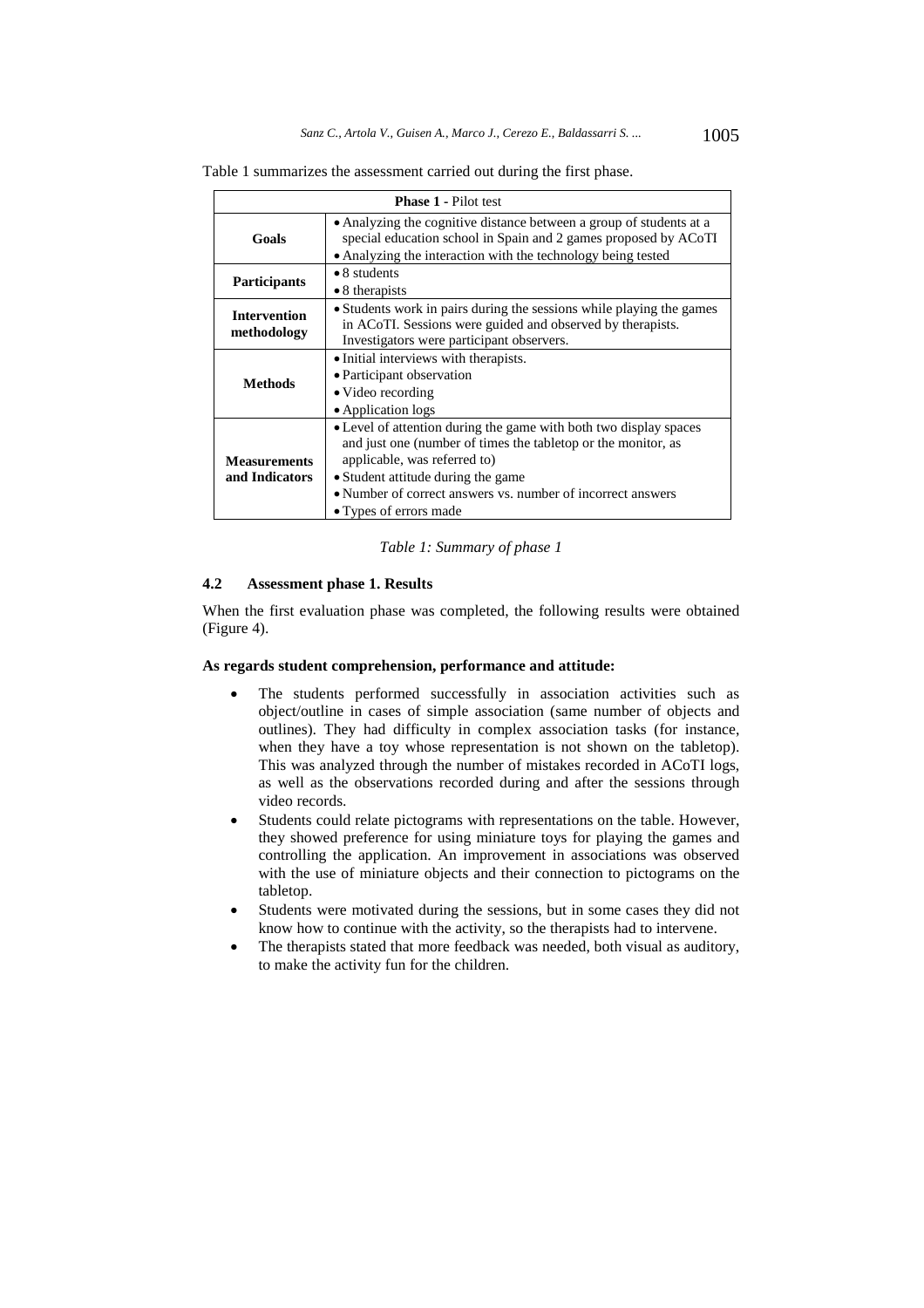| <b>Phase 1 - Pilot test</b>           |                                                                                                                                                                                                                                                                                                   |  |
|---------------------------------------|---------------------------------------------------------------------------------------------------------------------------------------------------------------------------------------------------------------------------------------------------------------------------------------------------|--|
| Goals                                 | • Analyzing the cognitive distance between a group of students at a<br>special education school in Spain and 2 games proposed by ACoTI<br>• Analyzing the interaction with the technology being tested                                                                                            |  |
| <b>Participants</b>                   | $\bullet$ 8 students<br>$\bullet$ 8 therapists                                                                                                                                                                                                                                                    |  |
| <b>Intervention</b><br>methodology    | • Students work in pairs during the sessions while playing the games<br>in ACoTI. Sessions were guided and observed by therapists.<br>Investigators were participant observers.                                                                                                                   |  |
| <b>Methods</b>                        | • Initial interviews with therapists.<br>• Participant observation<br>• Video recording<br>• Application logs                                                                                                                                                                                     |  |
| <b>Measurements</b><br>and Indicators | • Level of attention during the game with both two display spaces<br>and just one (number of times the tabletop or the monitor, as<br>applicable, was referred to)<br>• Student attitude during the game<br>• Number of correct answers vs. number of incorrect answers<br>• Types of errors made |  |

Table 1 summarizes the assessment carried out during the first phase.

#### *Table 1: Summary of phase 1*

## **4.2 Assessment phase 1. Results**

When the first evaluation phase was completed, the following results were obtained (Figure 4).

#### **As regards student comprehension, performance and attitude:**

- The students performed successfully in association activities such as object/outline in cases of simple association (same number of objects and outlines). They had difficulty in complex association tasks (for instance, when they have a toy whose representation is not shown on the tabletop). This was analyzed through the number of mistakes recorded in ACoTI logs, as well as the observations recorded during and after the sessions through video records.
- Students could relate pictograms with representations on the table. However, they showed preference for using miniature toys for playing the games and controlling the application. An improvement in associations was observed with the use of miniature objects and their connection to pictograms on the tabletop.
- Students were motivated during the sessions, but in some cases they did not know how to continue with the activity, so the therapists had to intervene.
- The therapists stated that more feedback was needed, both visual as auditory, to make the activity fun for the children.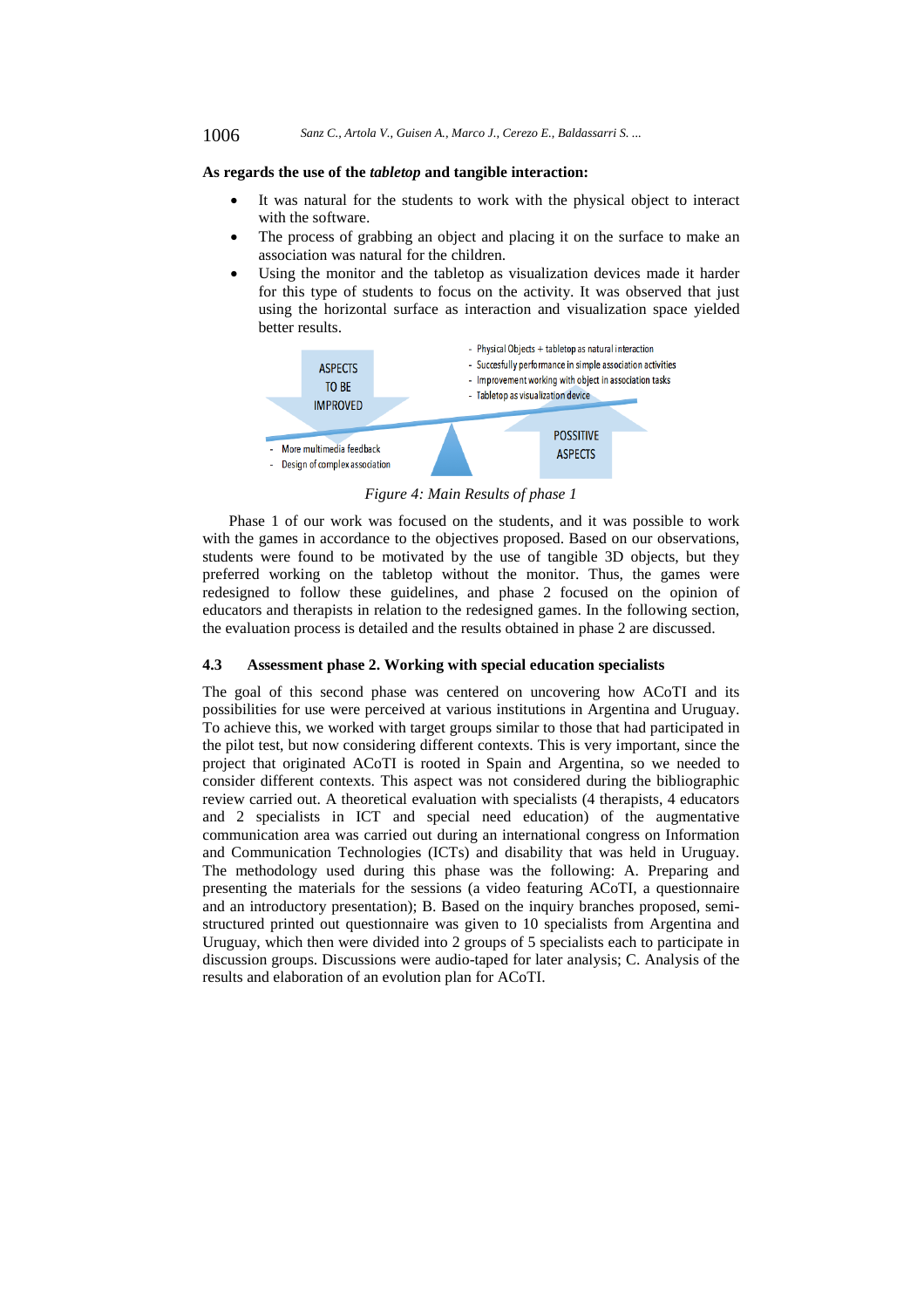## **As regards the use of the** *tabletop* **and tangible interaction:**

- It was natural for the students to work with the physical object to interact with the software.
- The process of grabbing an object and placing it on the surface to make an association was natural for the children.
- Using the monitor and the tabletop as visualization devices made it harder for this type of students to focus on the activity. It was observed that just using the horizontal surface as interaction and visualization space yielded better results.



*Figure 4: Main Results of phase 1* 

Phase 1 of our work was focused on the students, and it was possible to work with the games in accordance to the objectives proposed. Based on our observations, students were found to be motivated by the use of tangible 3D objects, but they preferred working on the tabletop without the monitor. Thus, the games were redesigned to follow these guidelines, and phase 2 focused on the opinion of educators and therapists in relation to the redesigned games. In the following section, the evaluation process is detailed and the results obtained in phase 2 are discussed.

#### **4.3 Assessment phase 2. Working with special education specialists**

The goal of this second phase was centered on uncovering how ACoTI and its possibilities for use were perceived at various institutions in Argentina and Uruguay. To achieve this, we worked with target groups similar to those that had participated in the pilot test, but now considering different contexts. This is very important, since the project that originated ACoTI is rooted in Spain and Argentina, so we needed to consider different contexts. This aspect was not considered during the bibliographic review carried out. A theoretical evaluation with specialists (4 therapists, 4 educators and 2 specialists in ICT and special need education) of the augmentative communication area was carried out during an international congress on Information and Communication Technologies (ICTs) and disability that was held in Uruguay. The methodology used during this phase was the following: A. Preparing and presenting the materials for the sessions (a video featuring ACoTI, a questionnaire and an introductory presentation); B. Based on the inquiry branches proposed, semistructured printed out questionnaire was given to 10 specialists from Argentina and Uruguay, which then were divided into 2 groups of 5 specialists each to participate in discussion groups. Discussions were audio-taped for later analysis; C. Analysis of the results and elaboration of an evolution plan for ACoTI.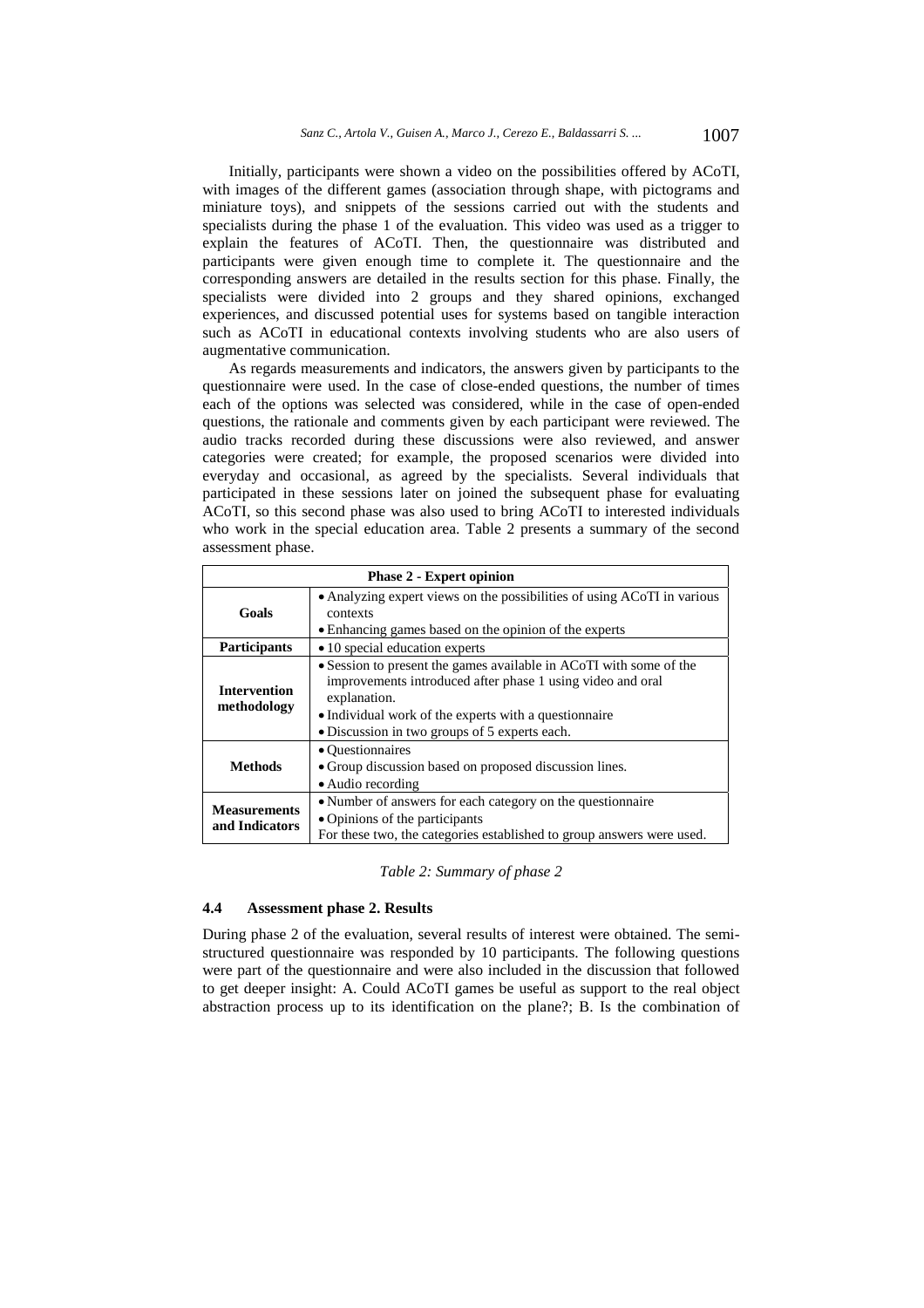Initially, participants were shown a video on the possibilities offered by ACoTI, with images of the different games (association through shape, with pictograms and miniature toys), and snippets of the sessions carried out with the students and specialists during the phase 1 of the evaluation. This video was used as a trigger to explain the features of ACoTI. Then, the questionnaire was distributed and participants were given enough time to complete it. The questionnaire and the corresponding answers are detailed in the results section for this phase. Finally, the specialists were divided into 2 groups and they shared opinions, exchanged experiences, and discussed potential uses for systems based on tangible interaction such as ACoTI in educational contexts involving students who are also users of augmentative communication.

As regards measurements and indicators, the answers given by participants to the questionnaire were used. In the case of close-ended questions, the number of times each of the options was selected was considered, while in the case of open-ended questions, the rationale and comments given by each participant were reviewed. The audio tracks recorded during these discussions were also reviewed, and answer categories were created; for example, the proposed scenarios were divided into everyday and occasional, as agreed by the specialists. Several individuals that participated in these sessions later on joined the subsequent phase for evaluating ACoTI, so this second phase was also used to bring ACoTI to interested individuals who work in the special education area. Table 2 presents a summary of the second assessment phase.

| <b>Phase 2 - Expert opinion</b>       |                                                                                                                                                                                                                                                            |  |
|---------------------------------------|------------------------------------------------------------------------------------------------------------------------------------------------------------------------------------------------------------------------------------------------------------|--|
| Goals                                 | • Analyzing expert views on the possibilities of using ACoTI in various<br>contexts<br>• Enhancing games based on the opinion of the experts                                                                                                               |  |
| <b>Participants</b>                   | • 10 special education experts                                                                                                                                                                                                                             |  |
| <b>Intervention</b><br>methodology    | • Session to present the games available in ACoTI with some of the<br>improvements introduced after phase 1 using video and oral<br>explanation.<br>• Individual work of the experts with a questionnaire<br>• Discussion in two groups of 5 experts each. |  |
| <b>Methods</b>                        | • Questionnaires<br>• Group discussion based on proposed discussion lines.<br>• Audio recording                                                                                                                                                            |  |
| <b>Measurements</b><br>and Indicators | • Number of answers for each category on the questionnaire<br>• Opinions of the participants<br>For these two, the categories established to group answers were used.                                                                                      |  |

*Table 2: Summary of phase 2* 

## **4.4 Assessment phase 2. Results**

During phase 2 of the evaluation, several results of interest were obtained. The semistructured questionnaire was responded by 10 participants. The following questions were part of the questionnaire and were also included in the discussion that followed to get deeper insight: A. Could ACoTI games be useful as support to the real object abstraction process up to its identification on the plane?; B. Is the combination of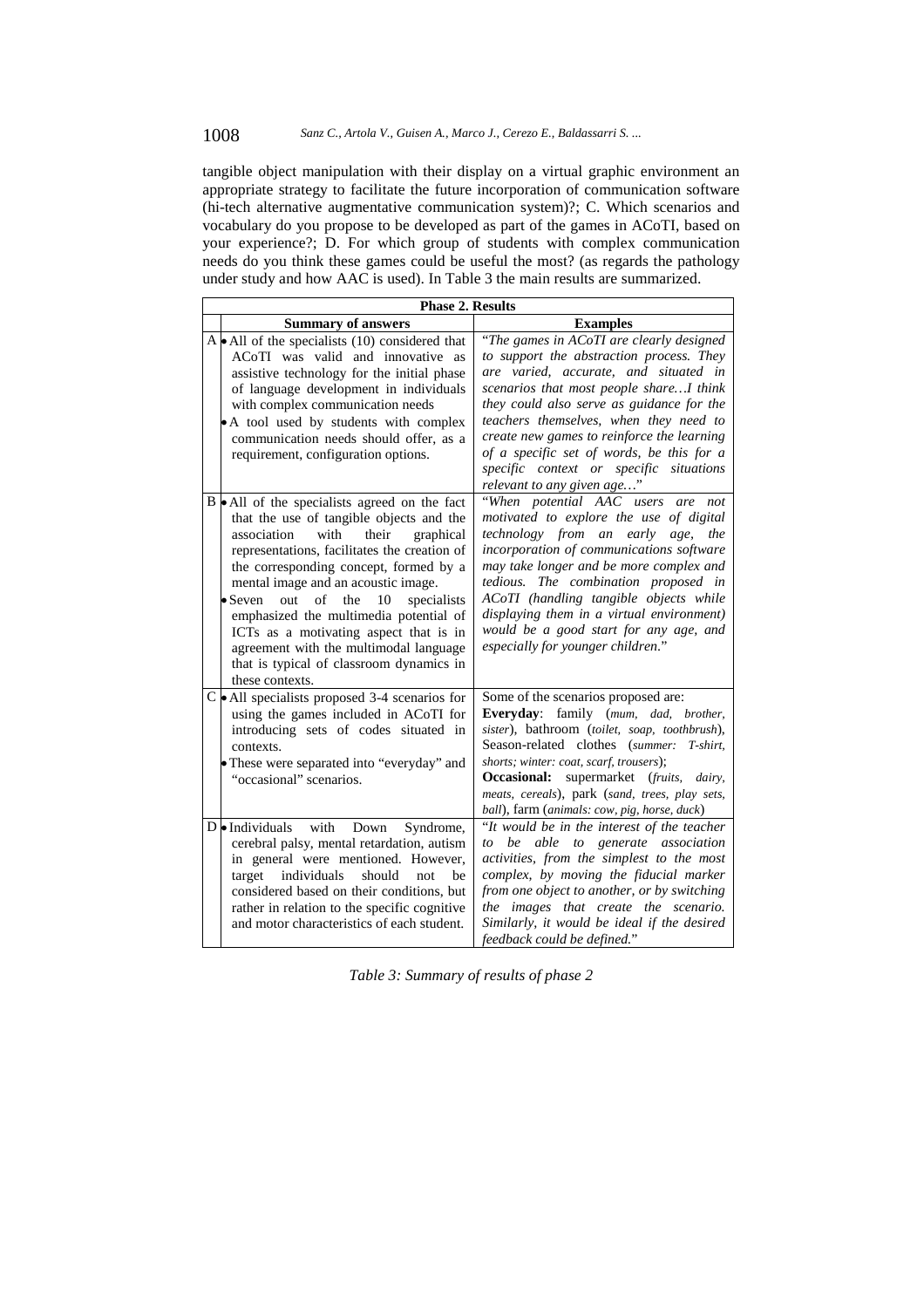## 1008 *Sanz C., Artola V., Guisen A., Marco J., Cerezo E., Baldassarri S. ...*

tangible object manipulation with their display on a virtual graphic environment an appropriate strategy to facilitate the future incorporation of communication software (hi-tech alternative augmentative communication system)?; C. Which scenarios and vocabulary do you propose to be developed as part of the games in ACoTI, based on your experience?; D. For which group of students with complex communication needs do you think these games could be useful the most? (as regards the pathology under study and how AAC is used). In Table 3 the main results are summarized.

| <b>Phase 2. Results</b>                                                                                                                                                                                                                                                                                                                                                                                                                                                                                                                |                                                                                                                                                                                                                                                                                                                                                                                                                                     |  |  |
|----------------------------------------------------------------------------------------------------------------------------------------------------------------------------------------------------------------------------------------------------------------------------------------------------------------------------------------------------------------------------------------------------------------------------------------------------------------------------------------------------------------------------------------|-------------------------------------------------------------------------------------------------------------------------------------------------------------------------------------------------------------------------------------------------------------------------------------------------------------------------------------------------------------------------------------------------------------------------------------|--|--|
| <b>Summary of answers</b>                                                                                                                                                                                                                                                                                                                                                                                                                                                                                                              | <b>Examples</b>                                                                                                                                                                                                                                                                                                                                                                                                                     |  |  |
| A $\bullet$ All of the specialists (10) considered that<br>ACoTI was valid and innovative as<br>assistive technology for the initial phase<br>of language development in individuals<br>with complex communication needs<br>• A tool used by students with complex<br>communication needs should offer, as a<br>requirement, configuration options.                                                                                                                                                                                    | "The games in ACoTI are clearly designed<br>to support the abstraction process. They<br>are varied, accurate, and situated in<br>scenarios that most people shareI think<br>they could also serve as guidance for the<br>teachers themselves, when they need to<br>create new games to reinforce the learning<br>of a specific set of words, be this for a<br>specific context or specific situations<br>relevant to any given age" |  |  |
| $B \cdot All$ of the specialists agreed on the fact<br>that the use of tangible objects and the<br>association<br>with<br>their<br>graphical<br>representations, facilitates the creation of<br>the corresponding concept, formed by a<br>mental image and an acoustic image.<br>$\bullet$ Seven<br>out<br>of<br>the<br>10<br>specialists<br>emphasized the multimedia potential of<br>ICTs as a motivating aspect that is in<br>agreement with the multimodal language<br>that is typical of classroom dynamics in<br>these contexts. | "When potential AAC users are<br>not<br>motivated to explore the use of digital<br>technology from an early age,<br>the<br>incorporation of communications software<br>may take longer and be more complex and<br>tedious. The combination proposed in<br>ACoTI (handling tangible objects while<br>displaying them in a virtual environment)<br>would be a good start for any age, and<br>especially for younger children."        |  |  |
| $C \cdot$ All specialists proposed 3-4 scenarios for<br>using the games included in ACoTI for<br>introducing sets of codes situated in<br>contexts.<br>• These were separated into "everyday" and<br>"occasional" scenarios.                                                                                                                                                                                                                                                                                                           | Some of the scenarios proposed are:<br>Everyday: family (mum, dad, brother,<br>sister), bathroom (toilet, soap, toothbrush),<br>Season-related clothes (summer:<br>T-shirt.<br>shorts; winter: coat, scarf, trousers);<br>supermarket (fruits,<br>Occasional:<br>dairy,<br>meats, cereals), park (sand, trees, play sets,<br>ball), farm (animals: cow, pig, horse, duck)                                                           |  |  |
| $D$ • Individuals with<br>Down<br>Syndrome,<br>cerebral palsy, mental retardation, autism<br>in general were mentioned. However,<br>target<br>individuals<br>should<br>not<br>he<br>considered based on their conditions, but<br>rather in relation to the specific cognitive<br>and motor characteristics of each student.                                                                                                                                                                                                            | "It would be in the interest of the teacher<br>be able<br>to<br>generate association<br>to<br>activities, from the simplest to the most<br>complex, by moving the fiducial marker<br>from one object to another, or by switching<br>the images that create the scenario.<br>Similarly, it would be ideal if the desired<br>feedback could be defined."                                                                              |  |  |

*Table 3: Summary of results of phase 2*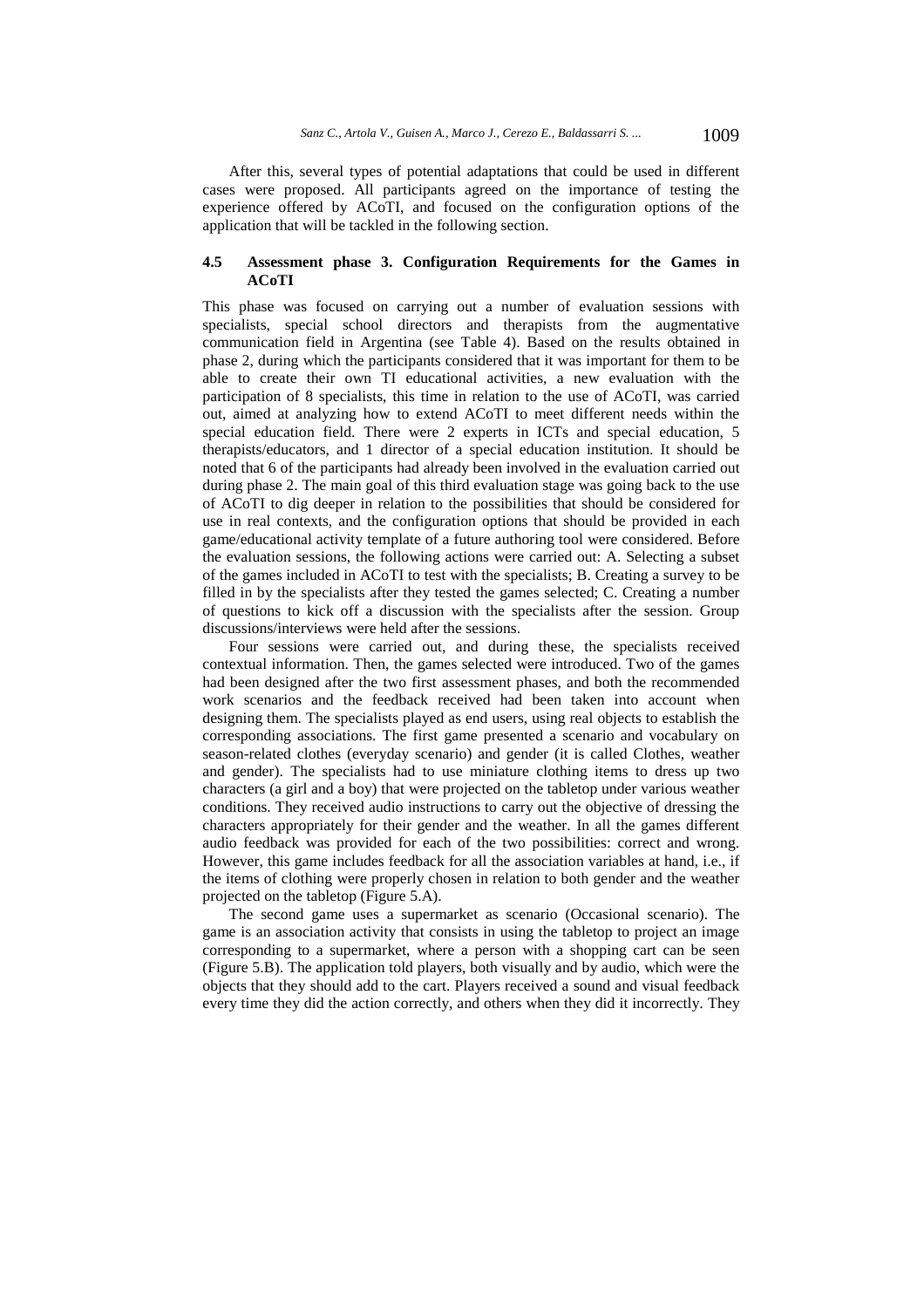After this, several types of potential adaptations that could be used in different cases were proposed. All participants agreed on the importance of testing the experience offered by ACoTI, and focused on the configuration options of the application that will be tackled in the following section.

## **4.5 Assessment phase 3. Configuration Requirements for the Games in ACoTI**

This phase was focused on carrying out a number of evaluation sessions with specialists, special school directors and therapists from the augmentative communication field in Argentina (see Table 4). Based on the results obtained in phase 2, during which the participants considered that it was important for them to be able to create their own TI educational activities, a new evaluation with the participation of 8 specialists, this time in relation to the use of ACoTI, was carried out, aimed at analyzing how to extend ACoTI to meet different needs within the special education field. There were 2 experts in ICTs and special education, 5 therapists/educators, and 1 director of a special education institution. It should be noted that 6 of the participants had already been involved in the evaluation carried out during phase 2. The main goal of this third evaluation stage was going back to the use of ACoTI to dig deeper in relation to the possibilities that should be considered for use in real contexts, and the configuration options that should be provided in each game/educational activity template of a future authoring tool were considered. Before the evaluation sessions, the following actions were carried out: A. Selecting a subset of the games included in ACoTI to test with the specialists; B. Creating a survey to be filled in by the specialists after they tested the games selected; C. Creating a number of questions to kick off a discussion with the specialists after the session. Group discussions/interviews were held after the sessions.

Four sessions were carried out, and during these, the specialists received contextual information. Then, the games selected were introduced. Two of the games had been designed after the two first assessment phases, and both the recommended work scenarios and the feedback received had been taken into account when designing them. The specialists played as end users, using real objects to establish the corresponding associations. The first game presented a scenario and vocabulary on season-related clothes (everyday scenario) and gender (it is called Clothes, weather and gender). The specialists had to use miniature clothing items to dress up two characters (a girl and a boy) that were projected on the tabletop under various weather conditions. They received audio instructions to carry out the objective of dressing the characters appropriately for their gender and the weather. In all the games different audio feedback was provided for each of the two possibilities: correct and wrong. However, this game includes feedback for all the association variables at hand, i.e., if the items of clothing were properly chosen in relation to both gender and the weather projected on the tabletop (Figure 5.A).

The second game uses a supermarket as scenario (Occasional scenario). The game is an association activity that consists in using the tabletop to project an image corresponding to a supermarket, where a person with a shopping cart can be seen (Figure 5.B). The application told players, both visually and by audio, which were the objects that they should add to the cart. Players received a sound and visual feedback every time they did the action correctly, and others when they did it incorrectly. They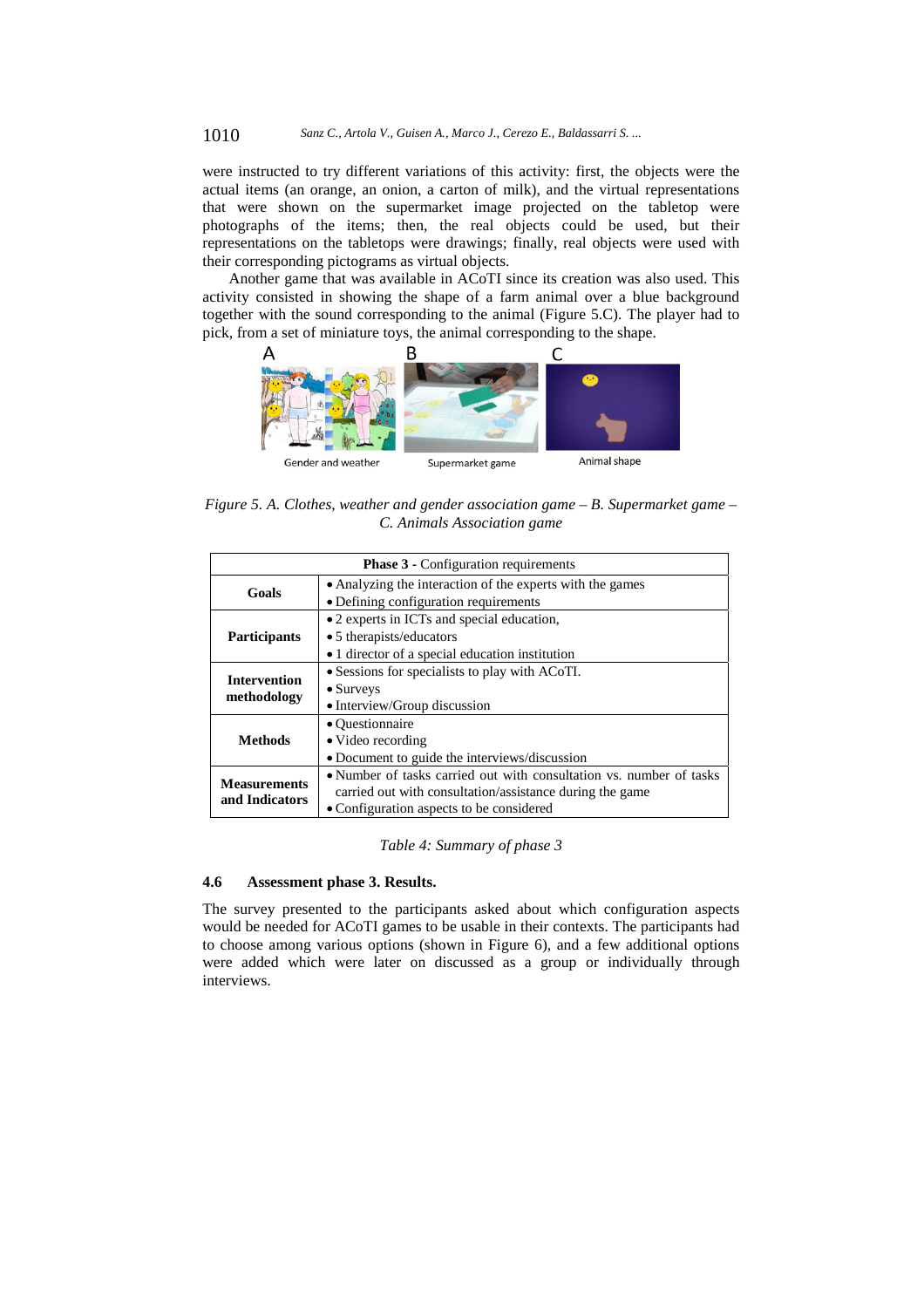were instructed to try different variations of this activity: first, the objects were the actual items (an orange, an onion, a carton of milk), and the virtual representations that were shown on the supermarket image projected on the tabletop were photographs of the items; then, the real objects could be used, but their representations on the tabletops were drawings; finally, real objects were used with their corresponding pictograms as virtual objects.

Another game that was available in ACoTI since its creation was also used. This activity consisted in showing the shape of a farm animal over a blue background together with the sound corresponding to the animal (Figure 5.C). The player had to pick, from a set of miniature toys, the animal corresponding to the shape.



*Figure 5. A. Clothes, weather and gender association game – B. Supermarket game – C. Animals Association game* 

| <b>Phase 3</b> - Configuration requirements |                                                                     |  |
|---------------------------------------------|---------------------------------------------------------------------|--|
| Goals                                       | • Analyzing the interaction of the experts with the games           |  |
|                                             | • Defining configuration requirements                               |  |
| <b>Participants</b>                         | • 2 experts in ICTs and special education,                          |  |
|                                             | • 5 therapists/educators                                            |  |
|                                             | • 1 director of a special education institution                     |  |
| <b>Intervention</b><br>methodology          | • Sessions for specialists to play with ACoTI.                      |  |
|                                             | $\bullet$ Surveys                                                   |  |
|                                             | • Interview/Group discussion                                        |  |
| <b>Methods</b>                              | • Questionnaire                                                     |  |
|                                             | • Video recording                                                   |  |
|                                             | • Document to guide the interviews/discussion                       |  |
| <b>Measurements</b><br>and Indicators       | • Number of tasks carried out with consultation vs. number of tasks |  |
|                                             | carried out with consultation/assistance during the game            |  |
|                                             | • Configuration aspects to be considered                            |  |

*Table 4: Summary of phase 3* 

#### **4.6 Assessment phase 3. Results.**

The survey presented to the participants asked about which configuration aspects would be needed for ACoTI games to be usable in their contexts. The participants had to choose among various options (shown in Figure 6), and a few additional options were added which were later on discussed as a group or individually through interviews.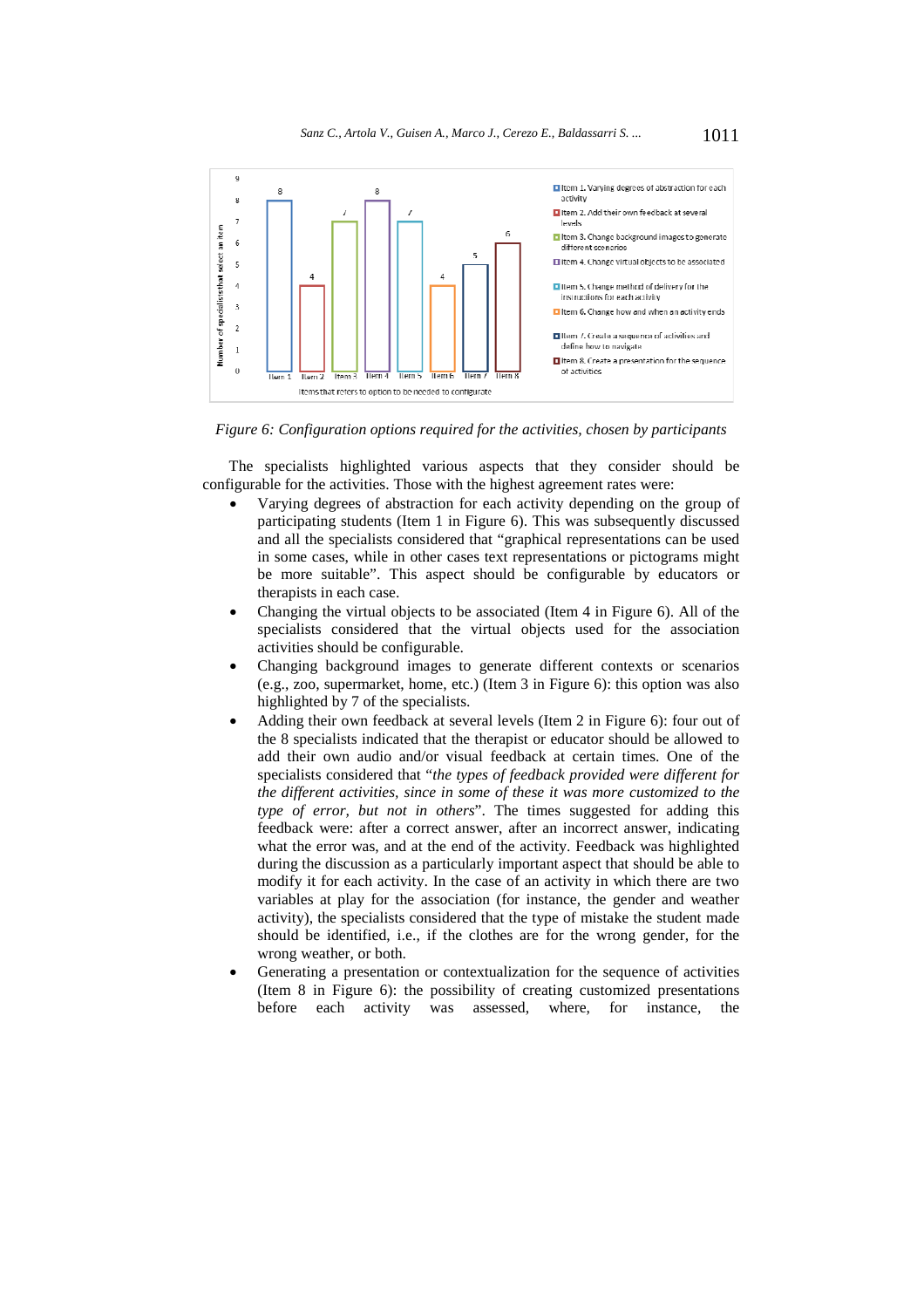

*Figure 6: Configuration options required for the activities, chosen by participants* 

The specialists highlighted various aspects that they consider should be configurable for the activities. Those with the highest agreement rates were:

- Varying degrees of abstraction for each activity depending on the group of participating students (Item 1 in Figure 6). This was subsequently discussed and all the specialists considered that "graphical representations can be used in some cases, while in other cases text representations or pictograms might be more suitable". This aspect should be configurable by educators or therapists in each case.
- Changing the virtual objects to be associated (Item 4 in Figure 6). All of the specialists considered that the virtual objects used for the association activities should be configurable.
- Changing background images to generate different contexts or scenarios (e.g., zoo, supermarket, home, etc.) (Item 3 in Figure 6): this option was also highlighted by 7 of the specialists.
- Adding their own feedback at several levels (Item 2 in Figure 6): four out of the 8 specialists indicated that the therapist or educator should be allowed to add their own audio and/or visual feedback at certain times. One of the specialists considered that "*the types of feedback provided were different for the different activities, since in some of these it was more customized to the type of error, but not in others*". The times suggested for adding this feedback were: after a correct answer, after an incorrect answer, indicating what the error was, and at the end of the activity. Feedback was highlighted during the discussion as a particularly important aspect that should be able to modify it for each activity. In the case of an activity in which there are two variables at play for the association (for instance, the gender and weather activity), the specialists considered that the type of mistake the student made should be identified, i.e., if the clothes are for the wrong gender, for the wrong weather, or both.
- Generating a presentation or contextualization for the sequence of activities (Item 8 in Figure 6): the possibility of creating customized presentations before each activity was assessed, where, for instance, the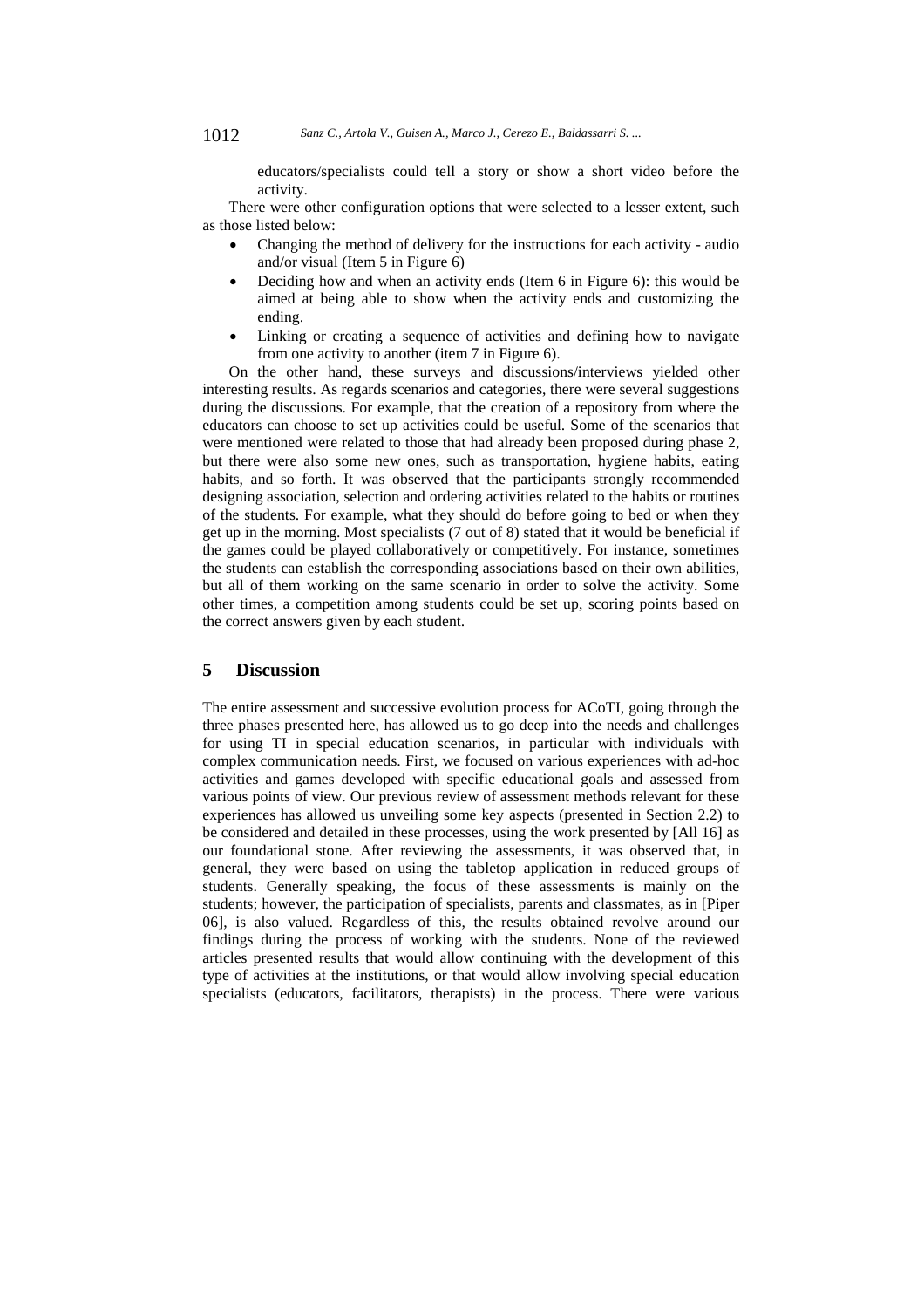educators/specialists could tell a story or show a short video before the activity.

There were other configuration options that were selected to a lesser extent, such as those listed below:

- Changing the method of delivery for the instructions for each activity audio and/or visual (Item 5 in Figure 6)
- Deciding how and when an activity ends (Item 6 in Figure 6): this would be aimed at being able to show when the activity ends and customizing the ending.
- Linking or creating a sequence of activities and defining how to navigate from one activity to another (item 7 in Figure 6).

On the other hand, these surveys and discussions/interviews yielded other interesting results. As regards scenarios and categories, there were several suggestions during the discussions. For example, that the creation of a repository from where the educators can choose to set up activities could be useful. Some of the scenarios that were mentioned were related to those that had already been proposed during phase 2, but there were also some new ones, such as transportation, hygiene habits, eating habits, and so forth. It was observed that the participants strongly recommended designing association, selection and ordering activities related to the habits or routines of the students. For example, what they should do before going to bed or when they get up in the morning. Most specialists (7 out of 8) stated that it would be beneficial if the games could be played collaboratively or competitively. For instance, sometimes the students can establish the corresponding associations based on their own abilities, but all of them working on the same scenario in order to solve the activity. Some other times, a competition among students could be set up, scoring points based on the correct answers given by each student.

## **5 Discussion**

The entire assessment and successive evolution process for ACoTI, going through the three phases presented here, has allowed us to go deep into the needs and challenges for using TI in special education scenarios, in particular with individuals with complex communication needs. First, we focused on various experiences with ad-hoc activities and games developed with specific educational goals and assessed from various points of view. Our previous review of assessment methods relevant for these experiences has allowed us unveiling some key aspects (presented in Section 2.2) to be considered and detailed in these processes, using the work presented by [All 16] as our foundational stone. After reviewing the assessments, it was observed that, in general, they were based on using the tabletop application in reduced groups of students. Generally speaking, the focus of these assessments is mainly on the students; however, the participation of specialists, parents and classmates, as in [Piper 06], is also valued. Regardless of this, the results obtained revolve around our findings during the process of working with the students. None of the reviewed articles presented results that would allow continuing with the development of this type of activities at the institutions, or that would allow involving special education specialists (educators, facilitators, therapists) in the process. There were various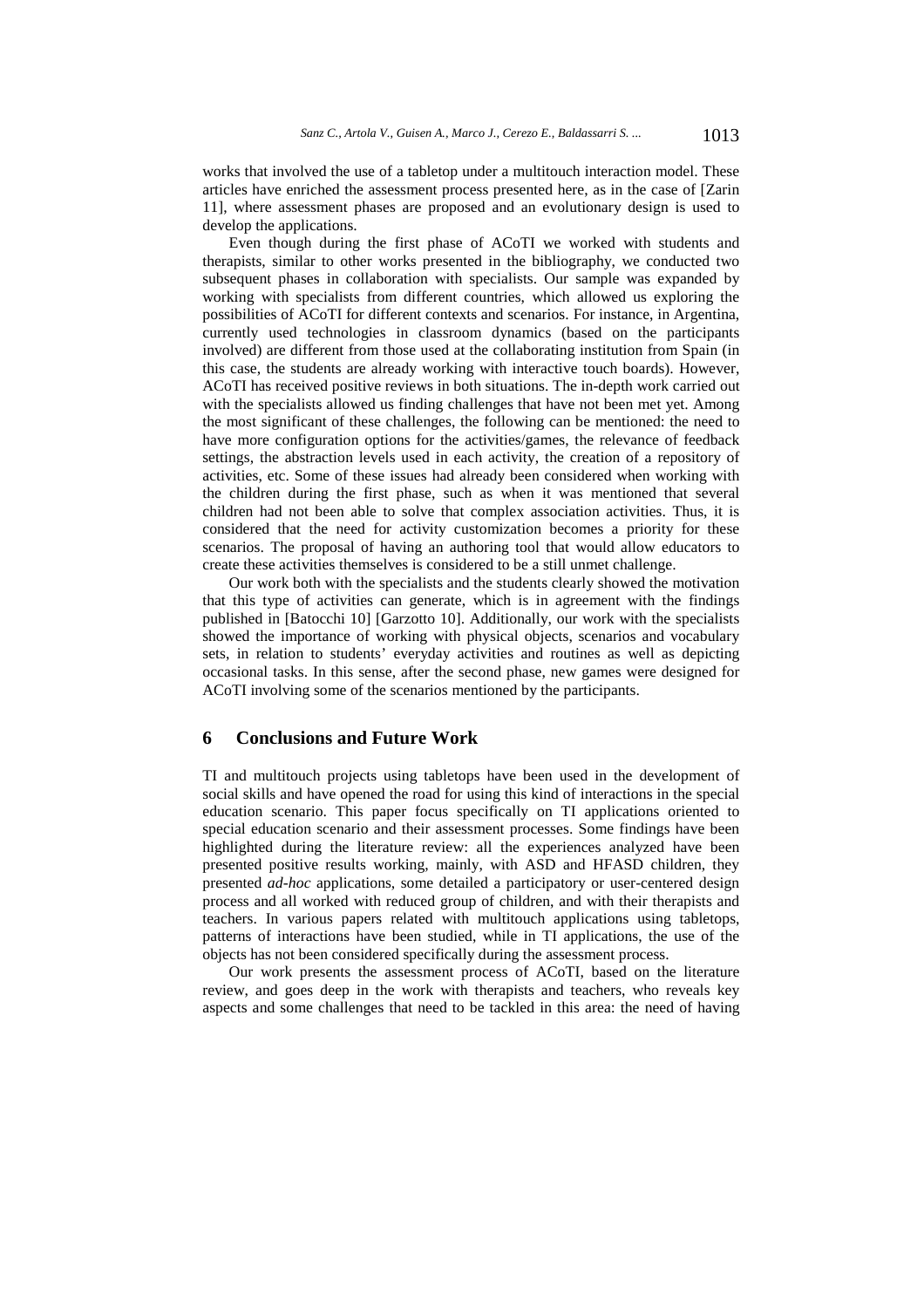works that involved the use of a tabletop under a multitouch interaction model. These articles have enriched the assessment process presented here, as in the case of [Zarin 11], where assessment phases are proposed and an evolutionary design is used to develop the applications.

Even though during the first phase of ACoTI we worked with students and therapists, similar to other works presented in the bibliography, we conducted two subsequent phases in collaboration with specialists. Our sample was expanded by working with specialists from different countries, which allowed us exploring the possibilities of ACoTI for different contexts and scenarios. For instance, in Argentina, currently used technologies in classroom dynamics (based on the participants involved) are different from those used at the collaborating institution from Spain (in this case, the students are already working with interactive touch boards). However, ACoTI has received positive reviews in both situations. The in-depth work carried out with the specialists allowed us finding challenges that have not been met yet. Among the most significant of these challenges, the following can be mentioned: the need to have more configuration options for the activities/games, the relevance of feedback settings, the abstraction levels used in each activity, the creation of a repository of activities, etc. Some of these issues had already been considered when working with the children during the first phase, such as when it was mentioned that several children had not been able to solve that complex association activities. Thus, it is considered that the need for activity customization becomes a priority for these scenarios. The proposal of having an authoring tool that would allow educators to create these activities themselves is considered to be a still unmet challenge.

Our work both with the specialists and the students clearly showed the motivation that this type of activities can generate, which is in agreement with the findings published in [Batocchi 10] [Garzotto 10]. Additionally, our work with the specialists showed the importance of working with physical objects, scenarios and vocabulary sets, in relation to students' everyday activities and routines as well as depicting occasional tasks. In this sense, after the second phase, new games were designed for ACoTI involving some of the scenarios mentioned by the participants.

## **6 Conclusions and Future Work**

TI and multitouch projects using tabletops have been used in the development of social skills and have opened the road for using this kind of interactions in the special education scenario. This paper focus specifically on TI applications oriented to special education scenario and their assessment processes. Some findings have been highlighted during the literature review: all the experiences analyzed have been presented positive results working, mainly, with ASD and HFASD children, they presented *ad-hoc* applications, some detailed a participatory or user-centered design process and all worked with reduced group of children, and with their therapists and teachers. In various papers related with multitouch applications using tabletops, patterns of interactions have been studied, while in TI applications, the use of the objects has not been considered specifically during the assessment process.

Our work presents the assessment process of ACoTI, based on the literature review, and goes deep in the work with therapists and teachers, who reveals key aspects and some challenges that need to be tackled in this area: the need of having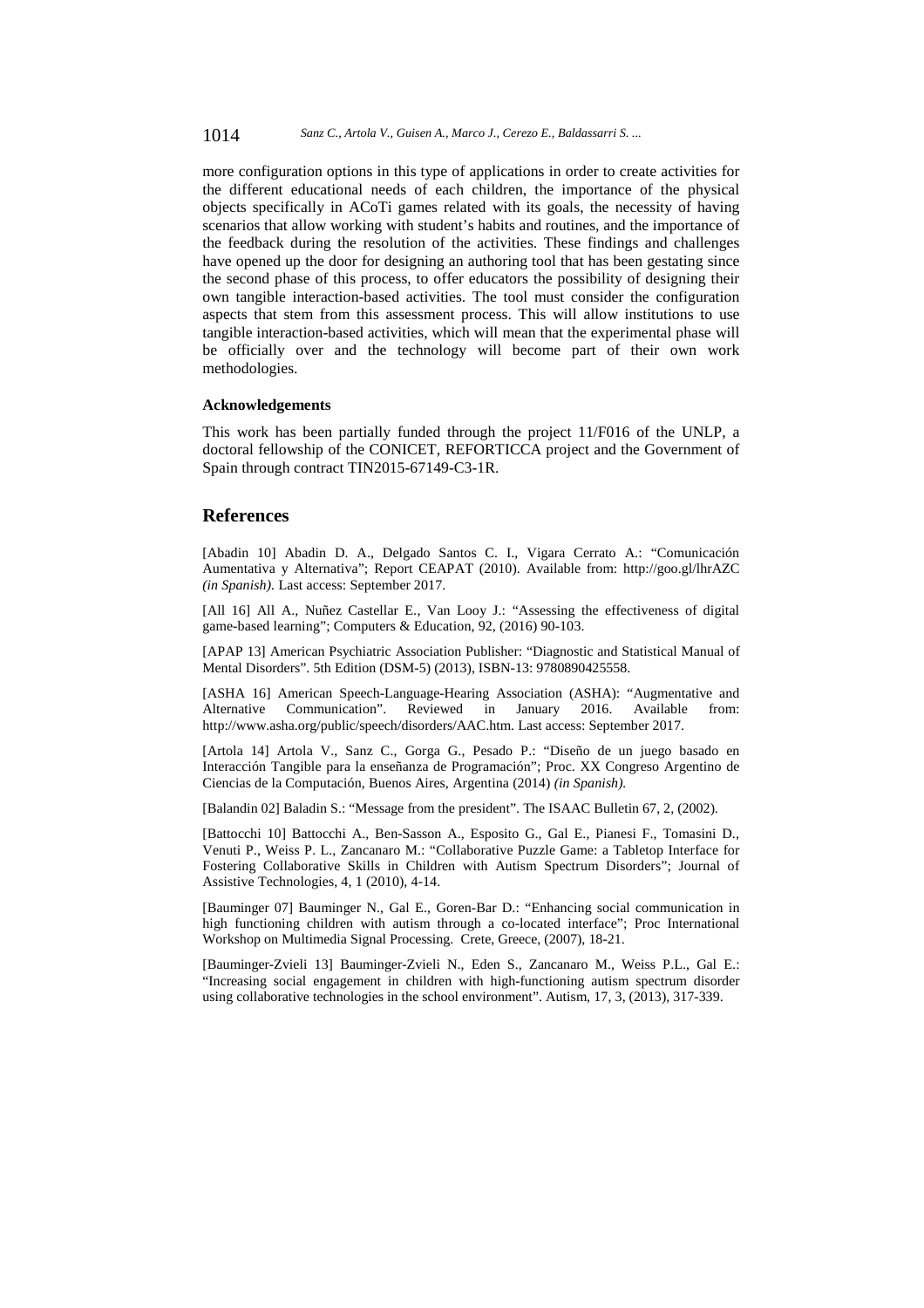1014 *Sanz C., Artola V., Guisen A., Marco J., Cerezo E., Baldassarri S. ...*

more configuration options in this type of applications in order to create activities for the different educational needs of each children, the importance of the physical objects specifically in ACoTi games related with its goals, the necessity of having scenarios that allow working with student's habits and routines, and the importance of the feedback during the resolution of the activities. These findings and challenges have opened up the door for designing an authoring tool that has been gestating since the second phase of this process, to offer educators the possibility of designing their own tangible interaction-based activities. The tool must consider the configuration aspects that stem from this assessment process. This will allow institutions to use tangible interaction-based activities, which will mean that the experimental phase will be officially over and the technology will become part of their own work methodologies.

#### **Acknowledgements**

This work has been partially funded through the project 11/F016 of the UNLP, a doctoral fellowship of the CONICET, REFORTICCA project and the Government of Spain through contract TIN2015-67149-C3-1R.

## **References**

[Abadin 10] Abadin D. A., Delgado Santos C. I., Vigara Cerrato A.: "Comunicación Aumentativa y Alternativa"; Report CEAPAT (2010). Available from: http://goo.gl/lhrAZC *(in Spanish).* Last access: September 2017.

[All 16] All A., Nuñez Castellar E., Van Looy J.: "Assessing the effectiveness of digital game-based learning"; Computers & Education, 92, (2016) 90-103.

[APAP 13] American Psychiatric Association Publisher: "Diagnostic and Statistical Manual of Mental Disorders". 5th Edition (DSM-5) (2013), ISBN-13: 9780890425558.

[ASHA 16] American Speech-Language-Hearing Association (ASHA): "Augmentative and Alternative Communication". Reviewed in January 2016. Available from: http://www.asha.org/public/speech/disorders/AAC.htm. Last access: September 2017.

[Artola 14] Artola V., Sanz C., Gorga G., Pesado P.: "Diseño de un juego basado en Interacción Tangible para la enseñanza de Programación"; Proc. XX Congreso Argentino de Ciencias de la Computación, Buenos Aires, Argentina (2014) *(in Spanish).*

[Balandin 02] Baladin S.: "Message from the president". The ISAAC Bulletin 67, 2, (2002).

[Battocchi 10] Battocchi A., Ben-Sasson A., Esposito G., Gal E., Pianesi F., Tomasini D., Venuti P., Weiss P. L., Zancanaro M.: "Collaborative Puzzle Game: a Tabletop Interface for Fostering Collaborative Skills in Children with Autism Spectrum Disorders"; Journal of Assistive Technologies, 4, 1 (2010), 4-14.

[Bauminger 07] Bauminger N., Gal E., Goren-Bar D.: "Enhancing social communication in high functioning children with autism through a co-located interface"; Proc International Workshop on Multimedia Signal Processing. Crete, Greece, (2007), 18-21.

[Bauminger-Zvieli 13] Bauminger-Zvieli N., Eden S., Zancanaro M., Weiss P.L., Gal E.: "Increasing social engagement in children with high-functioning autism spectrum disorder using collaborative technologies in the school environment". Autism, 17, 3, (2013), 317-339.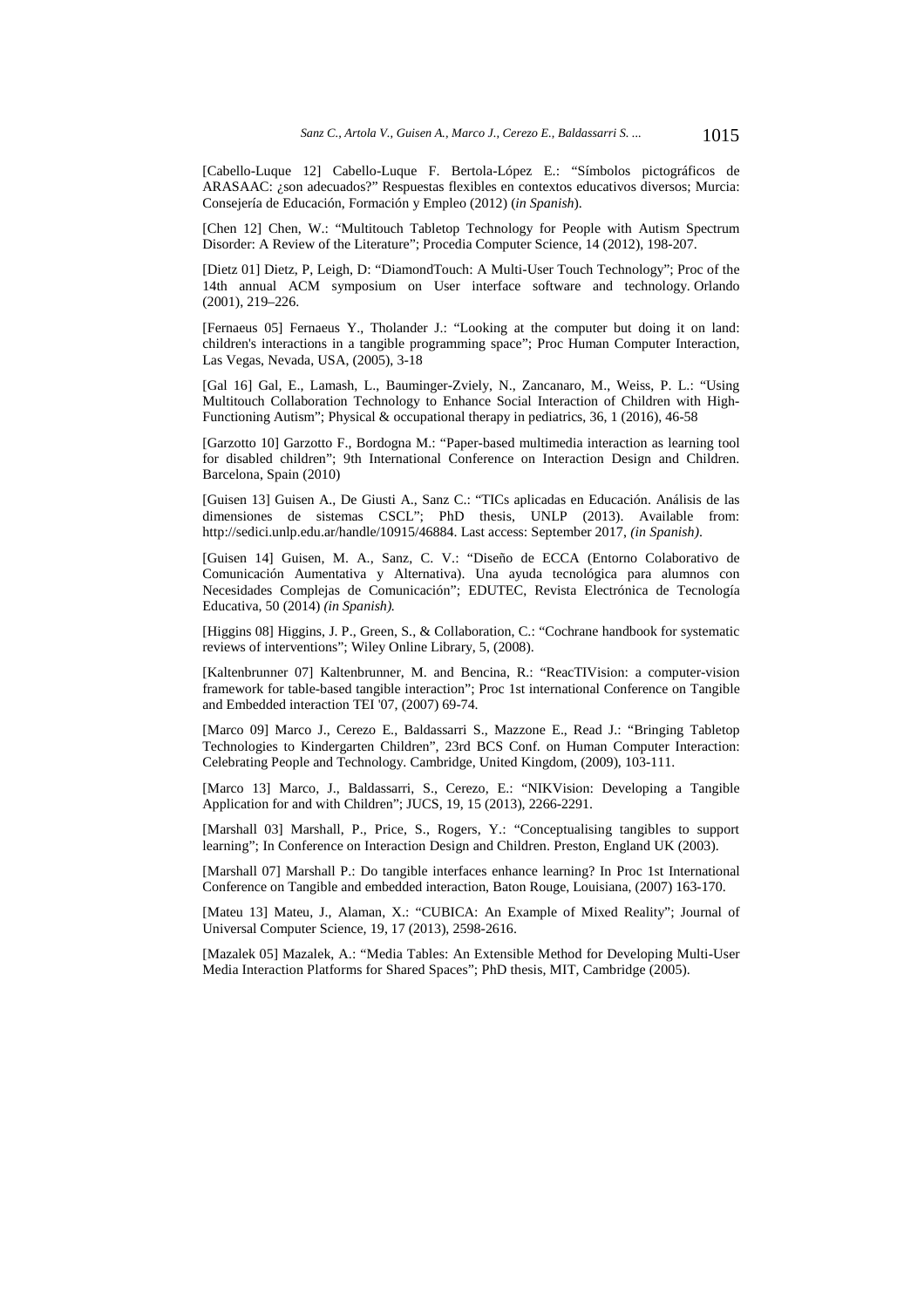[Cabello-Luque 12] Cabello-Luque F. Bertola-López E.: "Símbolos pictográficos de ARASAAC: ¿son adecuados?" Respuestas flexibles en contextos educativos diversos; Murcia: Consejería de Educación, Formación y Empleo (2012) (*in Spanish*).

[Chen 12] Chen, W.: "Multitouch Tabletop Technology for People with Autism Spectrum Disorder: A Review of the Literature"; Procedia Computer Science, 14 (2012), 198-207.

[Dietz 01] Dietz, P, Leigh, D: "DiamondTouch: A Multi-User Touch Technology"; Proc of the 14th annual ACM symposium on User interface software and technology. Orlando (2001), 219–226.

[Fernaeus 05] Fernaeus Y., Tholander J.: "Looking at the computer but doing it on land: children's interactions in a tangible programming space"; Proc Human Computer Interaction, Las Vegas, Nevada, USA, (2005), 3-18

[Gal 16] Gal, E., Lamash, L., Bauminger-Zviely, N., Zancanaro, M., Weiss, P. L.: "Using Multitouch Collaboration Technology to Enhance Social Interaction of Children with High-Functioning Autism"; Physical & occupational therapy in pediatrics, 36, 1 (2016), 46-58

[Garzotto 10] Garzotto F., Bordogna M.: "Paper-based multimedia interaction as learning tool for disabled children"; 9th International Conference on Interaction Design and Children. Barcelona, Spain (2010)

[Guisen 13] Guisen A., De Giusti A., Sanz C.: "TICs aplicadas en Educación. Análisis de las dimensiones de sistemas CSCL"; PhD thesis, UNLP (2013). Available from: http://sedici.unlp.edu.ar/handle/10915/46884. Last access: September 2017, *(in Spanish)*.

[Guisen 14] Guisen, M. A., Sanz, C. V.: "Diseño de ECCA (Entorno Colaborativo de Comunicación Aumentativa y Alternativa). Una ayuda tecnológica para alumnos con Necesidades Complejas de Comunicación"; EDUTEC, Revista Electrónica de Tecnología Educativa, 50 (2014) *(in Spanish).*

[Higgins 08] Higgins, J. P., Green, S., & Collaboration, C.: "Cochrane handbook for systematic reviews of interventions"; Wiley Online Library, 5, (2008).

[Kaltenbrunner 07] Kaltenbrunner, M. and Bencina, R.: "ReacTIVision: a computer-vision framework for table-based tangible interaction"; Proc 1st international Conference on Tangible and Embedded interaction TEI '07, (2007) 69-74.

[Marco 09] Marco J., Cerezo E., Baldassarri S., Mazzone E., Read J.: "Bringing Tabletop Technologies to Kindergarten Children", 23rd BCS Conf. on Human Computer Interaction: Celebrating People and Technology. Cambridge, United Kingdom, (2009), 103-111.

[Marco 13] Marco, J., Baldassarri, S., Cerezo, E.: "NIKVision: Developing a Tangible Application for and with Children"; JUCS, 19, 15 (2013), 2266-2291.

[Marshall 03] Marshall, P., Price, S., Rogers, Y.: "Conceptualising tangibles to support learning"; In Conference on Interaction Design and Children. Preston, England UK (2003).

[Marshall 07] Marshall P.: Do tangible interfaces enhance learning? In Proc 1st International Conference on Tangible and embedded interaction, Baton Rouge, Louisiana, (2007) 163-170.

[Mateu 13] Mateu, J., Alaman, X.: "CUBICA: An Example of Mixed Reality"; Journal of Universal Computer Science, 19, 17 (2013), 2598-2616.

[Mazalek 05] Mazalek, A.: "Media Tables: An Extensible Method for Developing Multi-User Media Interaction Platforms for Shared Spaces"; PhD thesis, MIT, Cambridge (2005).